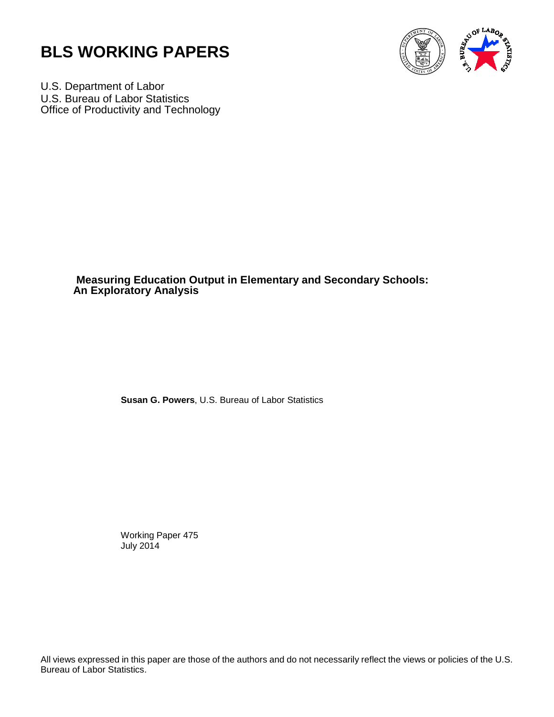



U.S. Department of Labor U.S. Bureau of Labor Statistics Office of Productivity and Technology

> **Measuring Education Output in Elementary and Secondary Schools: An Exploratory Analysis**

> > **Susan G. Powers**, U.S. Bureau of Labor Statistics

 Working Paper 475 July 2014

All views expressed in this paper are those of the authors and do not necessarily reflect the views or policies of the U.S. Bureau of Labor Statistics.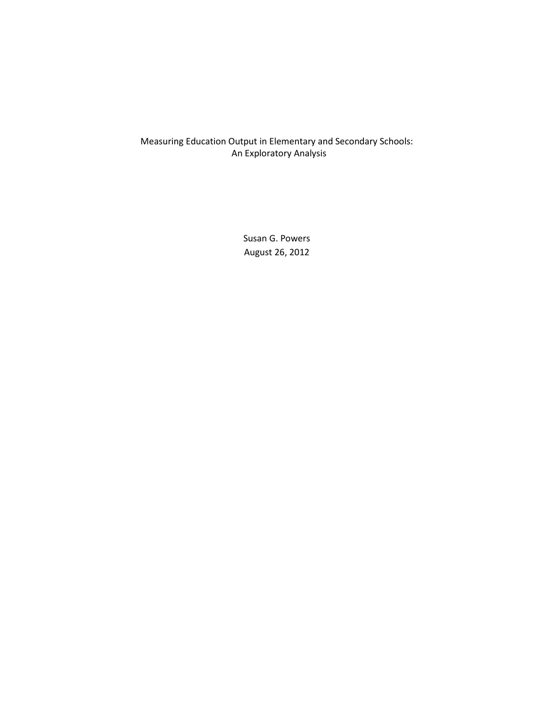# Measuring Education Output in Elementary and Secondary Schools: An Exploratory Analysis

Susan G. Powers August 26, 2012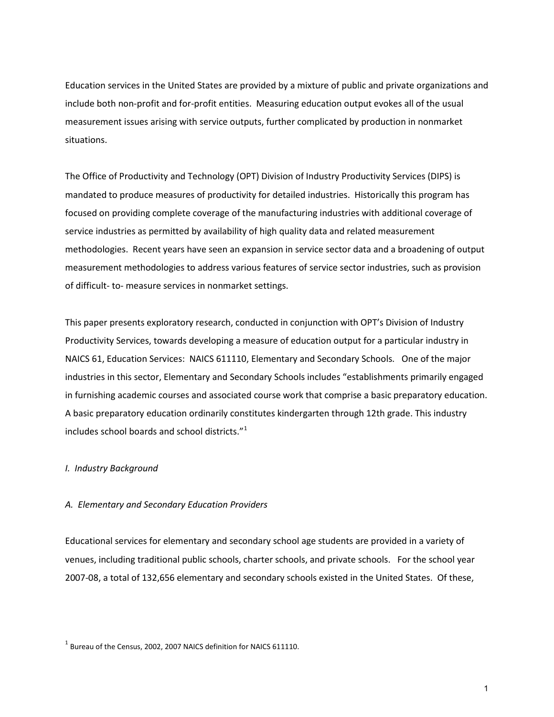Education services in the United States are provided by a mixture of public and private organizations and include both non-profit and for-profit entities. Measuring education output evokes all of the usual measurement issues arising with service outputs, further complicated by production in nonmarket situations.

The Office of Productivity and Technology (OPT) Division of Industry Productivity Services (DIPS) is mandated to produce measures of productivity for detailed industries. Historically this program has focused on providing complete coverage of the manufacturing industries with additional coverage of service industries as permitted by availability of high quality data and related measurement methodologies. Recent years have seen an expansion in service sector data and a broadening of output measurement methodologies to address various features of service sector industries, such as provision of difficult- to- measure services in nonmarket settings.

This paper presents exploratory research, conducted in conjunction with OPT's Division of Industry Productivity Services, towards developing a measure of education output for a particular industry in NAICS 61, Education Services: NAICS 611110, Elementary and Secondary Schools. One of the major industries in this sector, Elementary and Secondary Schools includes "establishments primarily engaged in furnishing academic courses and associated course work that comprise a basic preparatory education. A basic preparatory education ordinarily constitutes kindergarten through 12th grade. This industry includes school boards and school districts."[1](#page-2-0)

## *I. Industry Background*

#### *A. Elementary and Secondary Education Providers*

Educational services for elementary and secondary school age students are provided in a variety of venues, including traditional public schools, charter schools, and private schools. For the school year 2007-08, a total of 132,656 elementary and secondary schools existed in the United States. Of these,

<span id="page-2-0"></span> $1$  Bureau of the Census, 2002, 2007 NAICS definition for NAICS 611110.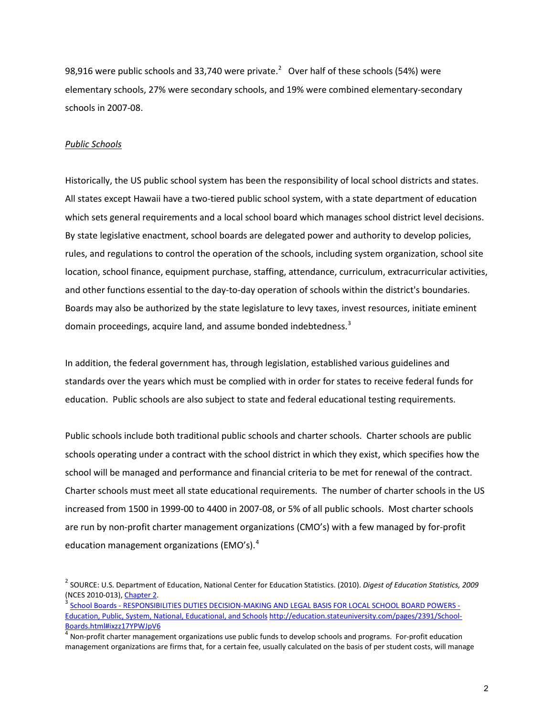98,916 were public schools and 33,740 were private.<sup>[2](#page-3-0)</sup> Over half of these schools (54%) were elementary schools, 27% were secondary schools, and 19% were combined elementary-secondary schools in 2007-08.

## *Public Schools*

Historically, the US public school system has been the responsibility of local school districts and states. All states except Hawaii have a two-tiered public school system, with a state department of education which sets general requirements and a local school board which manages school district level decisions. By state legislative enactment, school boards are delegated power and authority to develop policies, rules, and regulations to control the operation of the schools, including system organization, school site location, school finance, equipment purchase, staffing, attendance, curriculum, extracurricular activities, and other functions essential to the day-to-day operation of schools within the district's boundaries. Boards may also be authorized by the state legislature to levy taxes, invest resources, initiate eminent domain proceedings, acquire land, and assume bonded indebtedness.<sup>[3](#page-3-1)</sup>

In addition, the federal government has, through legislation, established various guidelines and standards over the years which must be complied with in order for states to receive federal funds for education. Public schools are also subject to state and federal educational testing requirements.

Public schools include both traditional public schools and charter schools. Charter schools are public schools operating under a contract with the school district in which they exist, which specifies how the school will be managed and performance and financial criteria to be met for renewal of the contract. Charter schools must meet all state educational requirements. The number of charter schools in the US increased from 1500 in 1999-00 to 4400 in 2007-08, or 5% of all public schools. Most charter schools are run by non-profit charter management organizations (CMO's) with a few managed by for-profit education management organizations (EMO's).<sup>[4](#page-3-2)</sup>

<span id="page-3-0"></span><sup>2</sup> SOURCE: U.S. Department of Education, National Center for Education Statistics. (2010). *Digest of Education Statistics, 2009* (NCES 2010-013), <u>Chapter 2</u>.<br><sup>3</sup> [School Boards - RESPONSIBILITIES DUTIES DECISION-MAKING AND LEGAL BASIS FOR LOCAL SCHOOL BOARD POWERS -](http://education.stateuniversity.com/pages/2391/School-Boards.html#ixzz17YPWJpV6)

<span id="page-3-1"></span>[Education, Public, System, National, Educational, and Schools](http://education.stateuniversity.com/pages/2391/School-Boards.html#ixzz17YPWJpV6) [http://education.stateuniversity.com/pages/2391/School-](http://education.stateuniversity.com/pages/2391/School-Boards.html#ixzz17YPWJpV6)[Boards.html#ixzz17YPWJpV6](http://education.stateuniversity.com/pages/2391/School-Boards.html#ixzz17YPWJpV6)

<span id="page-3-2"></span><sup>4</sup> Non-profit charter management organizations use public funds to develop schools and programs. For-profit education management organizations are firms that, for a certain fee, usually calculated on the basis of per student costs, will manage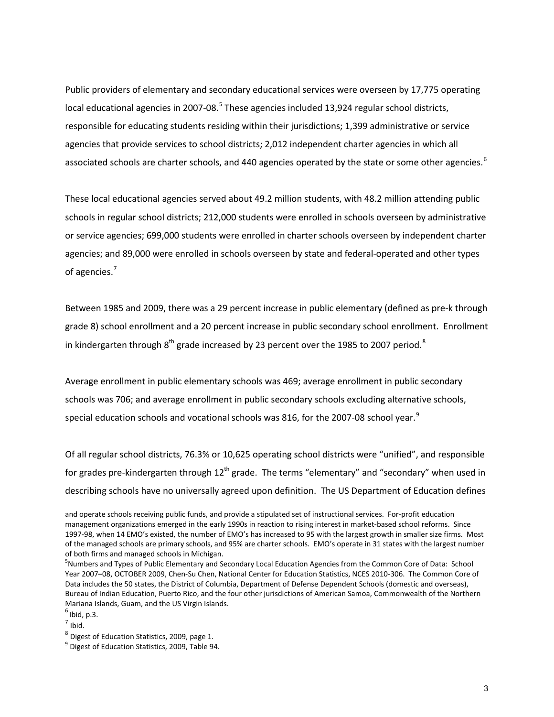Public providers of elementary and secondary educational services were overseen by 17,775 operating local educational agencies in 2007-08.<sup>[5](#page-4-0)</sup> These agencies included 13,924 regular school districts, responsible for educating students residing within their jurisdictions; 1,399 administrative or service agencies that provide services to school districts; 2,012 independent charter agencies in which all associated schools are charter schools, and 440 agencies operated by the state or some other agencies.<sup>[6](#page-4-1)</sup>

These local educational agencies served about 49.2 million students, with 48.2 million attending public schools in regular school districts; 212,000 students were enrolled in schools overseen by administrative or service agencies; 699,000 students were enrolled in charter schools overseen by independent charter agencies; and 89,000 were enrolled in schools overseen by state and federal-operated and other types of agencies.<sup>[7](#page-4-2)</sup>

Between 1985 and 2009, there was a 29 percent increase in public elementary (defined as pre-k through grade 8) school enrollment and a 20 percent increase in public secondary school enrollment. Enrollment in kindergarten through  $8<sup>th</sup>$  $8<sup>th</sup>$  grade increased by 23 percent over the 1985 to 2007 period.<sup>8</sup>

Average enrollment in public elementary schools was 469; average enrollment in public secondary schools was 706; and average enrollment in public secondary schools excluding alternative schools, special education schools and vocational schools was 816, for the 2007-08 school year.<sup>[9](#page-4-4)</sup>

Of all regular school districts, 76.3% or 10,625 operating school districts were "unified", and responsible for grades pre-kindergarten through 12<sup>th</sup> grade. The terms "elementary" and "secondary" when used in describing schools have no universally agreed upon definition. The US Department of Education defines

and operate schools receiving public funds, and provide a stipulated set of instructional services. For-profit education management organizations emerged in the early 1990s in reaction to rising interest in market-based school reforms. Since 1997-98, when 14 EMO's existed, the number of EMO's has increased to 95 with the largest growth in smaller size firms. Most of the managed schools are primary schools, and 95% are charter schools. EMO's operate in 31 states with the largest number of both firms and managed schools in Michigan.

<span id="page-4-0"></span><sup>&</sup>lt;sup>5</sup>Numbers and Types of Public Elementary and Secondary Local Education Agencies from the Common Core of Data: School Year 2007–08, OCTOBER 2009, Chen-Su Chen, National Center for Education Statistics, NCES 2010-306. The Common Core of Data includes the 50 states, the District of Columbia, Department of Defense Dependent Schools (domestic and overseas), Bureau of Indian Education, Puerto Rico, and the four other jurisdictions of American Samoa, Commonwealth of the Northern Mariana Islands, Guam, and the US Virgin Islands.

<span id="page-4-1"></span> $<sup>6</sup>$  Ibid, p.3.</sup>

<span id="page-4-2"></span> $<sup>7</sup>$  Ibid.</sup>

<span id="page-4-3"></span> $^8$  Digest of Education Statistics, 2009, page 1.

<span id="page-4-4"></span><sup>&</sup>lt;sup>9</sup> Digest of Education Statistics, 2009, Table 94.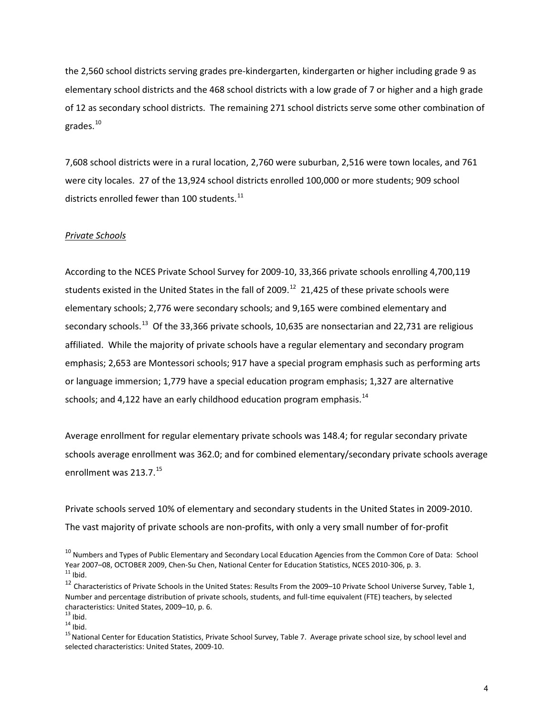the 2,560 school districts serving grades pre-kindergarten, kindergarten or higher including grade 9 as elementary school districts and the 468 school districts with a low grade of 7 or higher and a high grade of 12 as secondary school districts. The remaining 271 school districts serve some other combination of grades.[10](#page-5-0)

7,608 school districts were in a rural location, 2,760 were suburban, 2,516 were town locales, and 761 were city locales. 27 of the 13,924 school districts enrolled 100,000 or more students; 909 school districts enrolled fewer than 100 students. $^{11}$  $^{11}$  $^{11}$ 

## *Private Schools*

According to the NCES Private School Survey for 2009-10, 33,366 private schools enrolling 4,700,119 students existed in the United States in the fall of 2009.<sup>[12](#page-5-2)</sup> 21,425 of these private schools were elementary schools; 2,776 were secondary schools; and 9,165 were combined elementary and secondary schools.<sup>13</sup> Of the 33,366 private schools, 10,635 are nonsectarian and 22,731 are religious affiliated. While the majority of private schools have a regular elementary and secondary program emphasis; 2,653 are Montessori schools; 917 have a special program emphasis such as performing arts or language immersion; 1,779 have a special education program emphasis; 1,327 are alternative schools; and 4,122 have an early childhood education program emphasis. $14$ 

Average enrollment for regular elementary private schools was 148.4; for regular secondary private schools average enrollment was 362.0; and for combined elementary/secondary private schools average enrollment was 213.7.<sup>[15](#page-5-5)</sup>

Private schools served 10% of elementary and secondary students in the United States in 2009-2010. The vast majority of private schools are non-profits, with only a very small number of for-profit

<span id="page-5-3"></span>

<span id="page-5-4"></span>

<span id="page-5-0"></span> $^{10}$  Numbers and Types of Public Elementary and Secondary Local Education Agencies from the Common Core of Data: School Year 2007–08, OCTOBER 2009, Chen-Su Chen, National Center for Education Statistics, NCES 2010-306, p. 3. 11 Ibid.

<span id="page-5-2"></span><span id="page-5-1"></span><sup>&</sup>lt;sup>12</sup> Characteristics of Private Schools in the United States: Results From the 2009–10 Private School Universe Survey, Table 1, Number and percentage distribution of private schools, students, and full-time equivalent (FTE) teachers, by selected characteristics: United States, 2009–10, p. 6.<br><sup>13</sup> Ibid.<br><sup>14</sup> Ibid. 15<br><sup>15</sup>National Center for Education Statistics, Private School Survey, Table 7. Average private school size, by school level and

<span id="page-5-5"></span>selected characteristics: United States, 2009-10.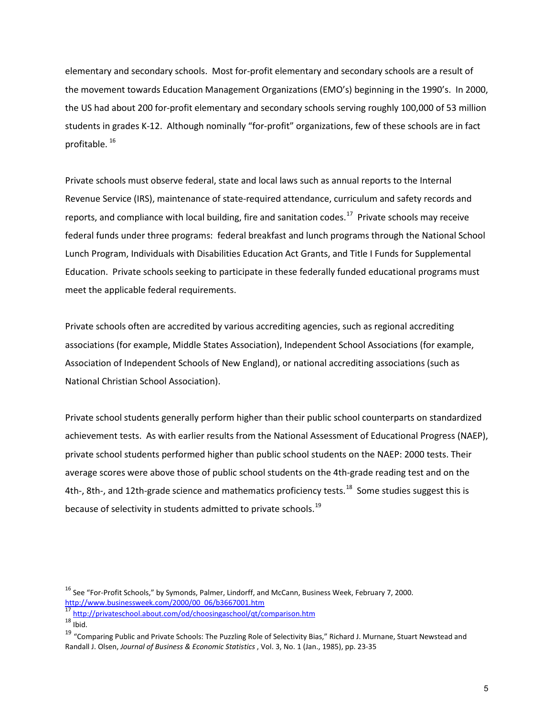elementary and secondary schools. Most for-profit elementary and secondary schools are a result of the movement towards Education Management Organizations (EMO's) beginning in the 1990's. In 2000, the US had about 200 for-profit elementary and secondary schools serving roughly 100,000 of 53 million students in grades K-12. Although nominally "for-profit" organizations, few of these schools are in fact profitable. [16](#page-6-0)

Private schools must observe federal, state and local laws such as annual reports to the Internal Revenue Service (IRS), maintenance of state-required attendance, curriculum and safety records and reports, and compliance with local building, fire and sanitation codes.<sup>[17](#page-6-1)</sup> Private schools may receive federal funds under three programs: federal breakfast and lunch programs through the National School Lunch Program, Individuals with Disabilities Education Act Grants, and Title I Funds for Supplemental Education. Private schools seeking to participate in these federally funded educational programs must meet the applicable federal requirements.

Private schools often are accredited by various accrediting agencies, such as regional accrediting associations (for example, Middle States Association), Independent School Associations (for example, Association of Independent Schools of New England), or national accrediting associations (such as National Christian School Association).

Private school students generally perform higher than their public school counterparts on standardized achievement tests. As with earlier results from the National Assessment of Educational Progress (NAEP), private school students performed higher than public school students on the NAEP: 2000 tests. Their average scores were above those of public school students on the 4th-grade reading test and on the 4th-, 8th-, and 12th-grade science and mathematics proficiency tests.<sup>18</sup> Some studies suggest this is because of selectivity in students admitted to private schools.<sup>[19](#page-6-3)</sup>

<span id="page-6-0"></span><sup>&</sup>lt;sup>16</sup> See "For-Profit Schools," by Symonds, Palmer, Lindorff, and McCann, Business Week, February 7, 2000. [http://www.businessweek.com/2000/00\\_06/b3667001.htm 17](http://www.businessweek.com/2000/00_06/b3667001.htm) <http://privateschool.about.com/od/choosingaschool/qt/comparison.htm>18 Ibid.

<span id="page-6-1"></span>

<span id="page-6-2"></span>

<span id="page-6-3"></span><sup>&</sup>lt;sup>19</sup> "Comparing Public and Private Schools: The Puzzling Role of Selectivity Bias," Richard J. Murnane, Stuart Newstead and Randall J. Olsen, *Journal of Business & Economic Statistics* , Vol. 3, No. 1 (Jan., 1985), pp. 23-35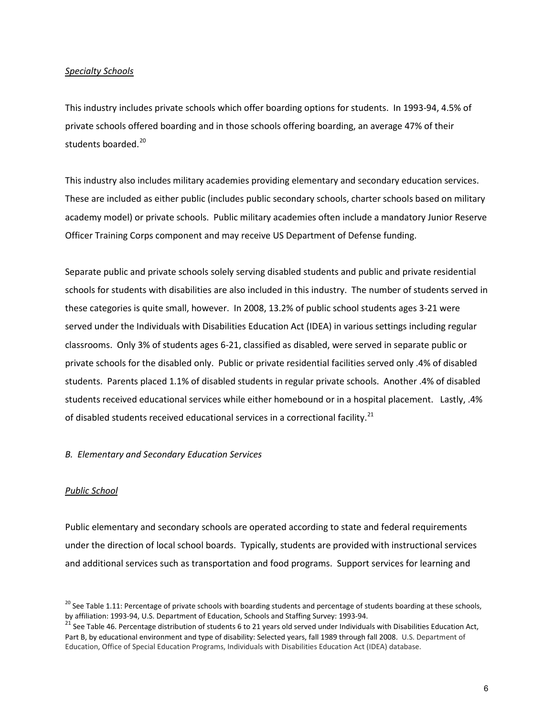## *Specialty Schools*

This industry includes private schools which offer boarding options for students. In 1993-94, 4.5% of private schools offered boarding and in those schools offering boarding, an average 47% of their students boarded.<sup>[20](#page-7-0)</sup>

This industry also includes military academies providing elementary and secondary education services. These are included as either public (includes public secondary schools, charter schools based on military academy model) or private schools. Public military academies often include a mandatory Junior Reserve Officer Training Corps component and may receive US Department of Defense funding.

Separate public and private schools solely serving disabled students and public and private residential schools for students with disabilities are also included in this industry. The number of students served in these categories is quite small, however. In 2008, 13.2% of public school students ages 3-21 were served under the Individuals with Disabilities Education Act (IDEA) in various settings including regular classrooms. Only 3% of students ages 6-21, classified as disabled, were served in separate public or private schools for the disabled only. Public or private residential facilities served only .4% of disabled students. Parents placed 1.1% of disabled students in regular private schools. Another .4% of disabled students received educational services while either homebound or in a hospital placement. Lastly, .4% of disabled students received educational services in a correctional facility.<sup>[21](#page-7-1)</sup>

## *B. Elementary and Secondary Education Services*

## *Public School*

Public elementary and secondary schools are operated according to state and federal requirements under the direction of local school boards. Typically, students are provided with instructional services and additional services such as transportation and food programs. Support services for learning and

<span id="page-7-0"></span> $^{20}$  See Table 1.11: Percentage of private schools with boarding students and percentage of students boarding at these schools, by affiliation: 1993-94, U.S. Department of Education, Schools and Staffing Survey: 1993-94.<br><sup>21</sup> See Table 46. Percentage distribution of students 6 to 21 years old served under Individuals with Disabilities Education Act

<span id="page-7-1"></span>Part B, by educational environment and type of disability: Selected years, fall 1989 through fall 2008. U.S. Department of Education, Office of Special Education Programs, Individuals with Disabilities Education Act (IDEA) database.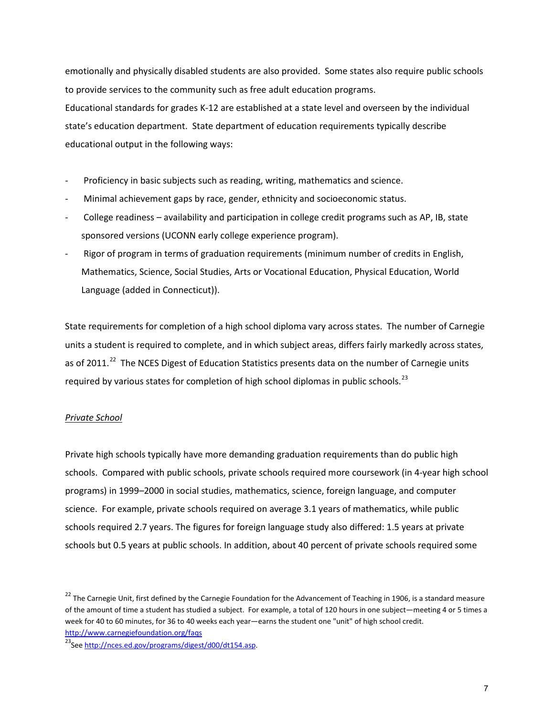emotionally and physically disabled students are also provided. Some states also require public schools to provide services to the community such as free adult education programs. Educational standards for grades K-12 are established at a state level and overseen by the individual state's education department. State department of education requirements typically describe educational output in the following ways:

- Proficiency in basic subjects such as reading, writing, mathematics and science.
- Minimal achievement gaps by race, gender, ethnicity and socioeconomic status.
- College readiness availability and participation in college credit programs such as AP, IB, state sponsored versions (UCONN early college experience program).
- Rigor of program in terms of graduation requirements (minimum number of credits in English, Mathematics, Science, Social Studies, Arts or Vocational Education, Physical Education, World Language (added in Connecticut)).

State requirements for completion of a high school diploma vary across states. The number of Carnegie units a student is required to complete, and in which subject areas, differs fairly markedly across states, as of 2011.<sup>[22](#page-8-0)</sup> The NCES Digest of Education Statistics presents data on the number of Carnegie units required by various states for completion of high school diplomas in public schools. $^{23}$ 

## *Private School*

Private high schools typically have more demanding graduation requirements than do public high schools. Compared with public schools, private schools required more coursework (in 4-year high school programs) in 1999–2000 in social studies, mathematics, science, foreign language, and computer science. For example, private schools required on average 3.1 years of mathematics, while public schools required 2.7 years. The figures for foreign language study also differed: 1.5 years at private schools but 0.5 years at public schools. In addition, about 40 percent of private schools required some

<span id="page-8-1"></span>

<span id="page-8-0"></span><sup>&</sup>lt;sup>22</sup> The Carnegie Unit, first defined by the Carnegie Foundation for the Advancement of Teaching in 1906, is a standard measure of the amount of time a student has studied a subject. For example, a total of 120 hours in one subject—meeting 4 or 5 times a week for 40 to 60 minutes, for 36 to 40 weeks each year—earns the student one "unit" of high school credit. http://www.carnegiefoundation.org/faqs<br><sup>23</sup>Se[e http://nces.ed.gov/programs/digest/d00/dt154.asp.](http://nces.ed.gov/programs/digest/d00/dt154.asp)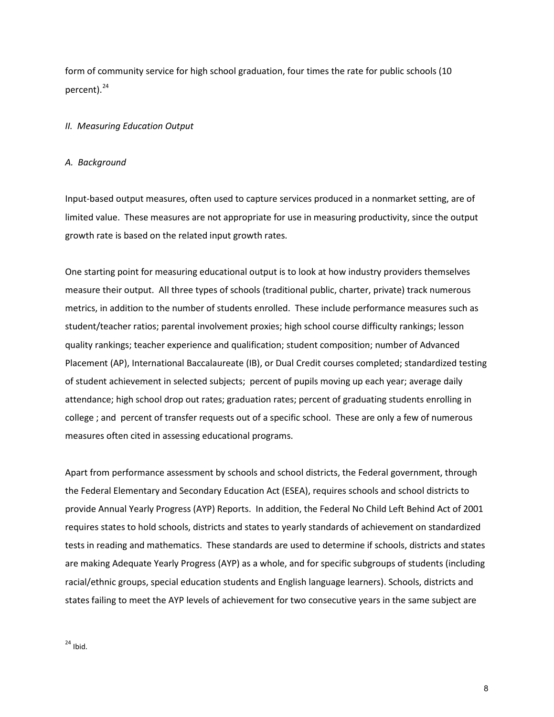form of community service for high school graduation, four times the rate for public schools (10 percent).<sup>[24](#page-9-0)</sup>

## *II. Measuring Education Output*

## *A. Background*

Input-based output measures, often used to capture services produced in a nonmarket setting, are of limited value. These measures are not appropriate for use in measuring productivity, since the output growth rate is based on the related input growth rates.

One starting point for measuring educational output is to look at how industry providers themselves measure their output. All three types of schools (traditional public, charter, private) track numerous metrics, in addition to the number of students enrolled. These include performance measures such as student/teacher ratios; parental involvement proxies; high school course difficulty rankings; lesson quality rankings; teacher experience and qualification; student composition; number of Advanced Placement (AP), International Baccalaureate (IB), or Dual Credit courses completed; standardized testing of student achievement in selected subjects; percent of pupils moving up each year; average daily attendance; high school drop out rates; graduation rates; percent of graduating students enrolling in college ; and percent of transfer requests out of a specific school. These are only a few of numerous measures often cited in assessing educational programs.

<span id="page-9-0"></span>Apart from performance assessment by schools and school districts, the Federal government, through the Federal Elementary and Secondary Education Act (ESEA), requires schools and school districts to provide Annual Yearly Progress (AYP) Reports. In addition, the Federal No Child Left Behind Act of 2001 requires states to hold schools, districts and states to yearly standards of achievement on standardized tests in reading and mathematics. These standards are used to determine if schools, districts and states are making Adequate Yearly Progress (AYP) as a whole, and for specific subgroups of students (including racial/ethnic groups, special education students and English language learners). Schools, districts and states failing to meet the AYP levels of achievement for two consecutive years in the same subject are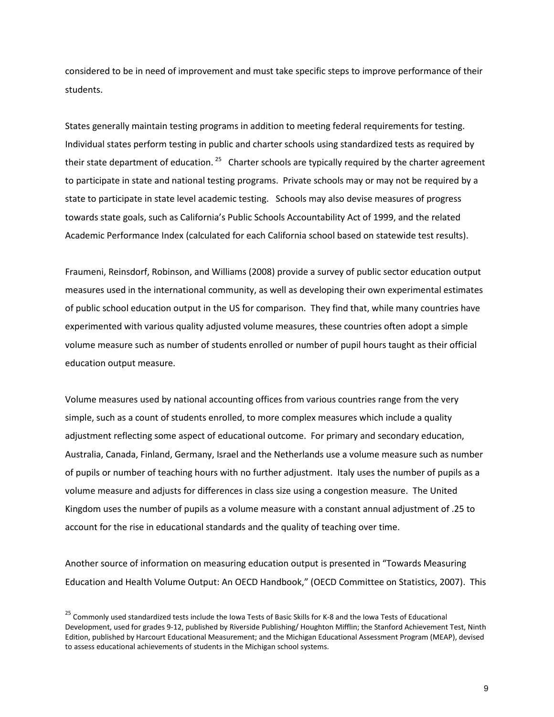considered to be in need of improvement and must take specific steps to improve performance of their students.

States generally maintain testing programs in addition to meeting federal requirements for testing. Individual states perform testing in public and charter schools using standardized tests as required by their state department of education.  $25$  Charter schools are typically required by the charter agreement to participate in state and national testing programs. Private schools may or may not be required by a state to participate in state level academic testing. Schools may also devise measures of progress towards state goals, such as California's Public Schools Accountability Act of 1999, and the related Academic Performance Index (calculated for each California school based on statewide test results).

Fraumeni, Reinsdorf, Robinson, and Williams (2008) provide a survey of public sector education output measures used in the international community, as well as developing their own experimental estimates of public school education output in the US for comparison. They find that, while many countries have experimented with various quality adjusted volume measures, these countries often adopt a simple volume measure such as number of students enrolled or number of pupil hours taught as their official education output measure.

Volume measures used by national accounting offices from various countries range from the very simple, such as a count of students enrolled, to more complex measures which include a quality adjustment reflecting some aspect of educational outcome. For primary and secondary education, Australia, Canada, Finland, Germany, Israel and the Netherlands use a volume measure such as number of pupils or number of teaching hours with no further adjustment. Italy uses the number of pupils as a volume measure and adjusts for differences in class size using a congestion measure. The United Kingdom uses the number of pupils as a volume measure with a constant annual adjustment of .25 to account for the rise in educational standards and the quality of teaching over time.

Another source of information on measuring education output is presented in "Towards Measuring Education and Health Volume Output: An OECD Handbook," (OECD Committee on Statistics, 2007). This

<span id="page-10-0"></span><sup>&</sup>lt;sup>25</sup> Commonly used standardized tests include the Iowa Tests of Basic Skills for K-8 and the Iowa Tests of Educational Development, used for grades 9-12, published by Riverside Publishing/ Houghton Mifflin; the Stanford Achievement Test, Ninth Edition, published by Harcourt Educational Measurement; and the Michigan Educational Assessment Program (MEAP), devised to assess educational achievements of students in the Michigan school systems.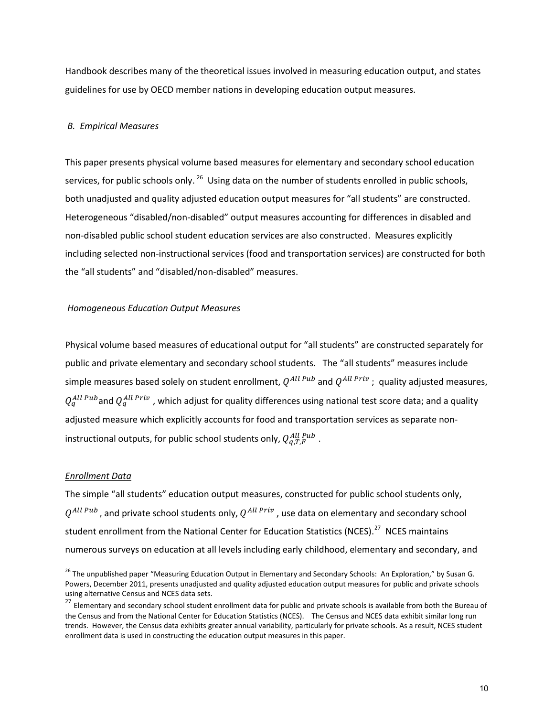Handbook describes many of the theoretical issues involved in measuring education output, and states guidelines for use by OECD member nations in developing education output measures.

### *B. Empirical Measures*

This paper presents physical volume based measures for elementary and secondary school education services, for public schools only. <sup>[26](#page-11-0)</sup> Using data on the number of students enrolled in public schools, both unadjusted and quality adjusted education output measures for "all students" are constructed. Heterogeneous "disabled/non-disabled" output measures accounting for differences in disabled and non-disabled public school student education services are also constructed. Measures explicitly including selected non-instructional services (food and transportation services) are constructed for both the "all students" and "disabled/non-disabled" measures.

#### *Homogeneous Education Output Measures*

Physical volume based measures of educational output for "all students" are constructed separately for public and private elementary and secondary school students. The "all students" measures include simple measures based solely on student enrollment,  $Q^{All\,Pub}$  and  $Q^{All\,Priv}$ ; quality adjusted measures,  $Q_q^{All\,Pub}$ and  $Q_q^{All\, Priv}$  , which adjust for quality differences using national test score data; and a quality adjusted measure which explicitly accounts for food and transportation services as separate noninstructional outputs, for public school students only,  $Q_{q,T,F}^{All\;Pub}$  .

#### *Enrollment Data*

The simple "all students" education output measures, constructed for public school students only,  $Q^{All\,Pub}$ , and private school students only,  $Q^{All\, Priv}$ , use data on elementary and secondary school student enrollment from the National Center for Education Statistics (NCES).<sup>27</sup> NCES maintains numerous surveys on education at all levels including early childhood, elementary and secondary, and

<span id="page-11-0"></span><sup>&</sup>lt;sup>26</sup> The unpublished paper "Measuring Education Output in Elementary and Secondary Schools: An Exploration," by Susan G. Powers, December 2011, presents unadjusted and quality adjusted education output measures for public and private schools using alternative Census and NCES data sets.

<span id="page-11-1"></span><sup>&</sup>lt;sup>27</sup> Elementary and secondary school student enrollment data for public and private schools is available from both the Bureau of the Census and from the National Center for Education Statistics (NCES). The Census and NCES data exhibit similar long run trends. However, the Census data exhibits greater annual variability, particularly for private schools. As a result, NCES student enrollment data is used in constructing the education output measures in this paper.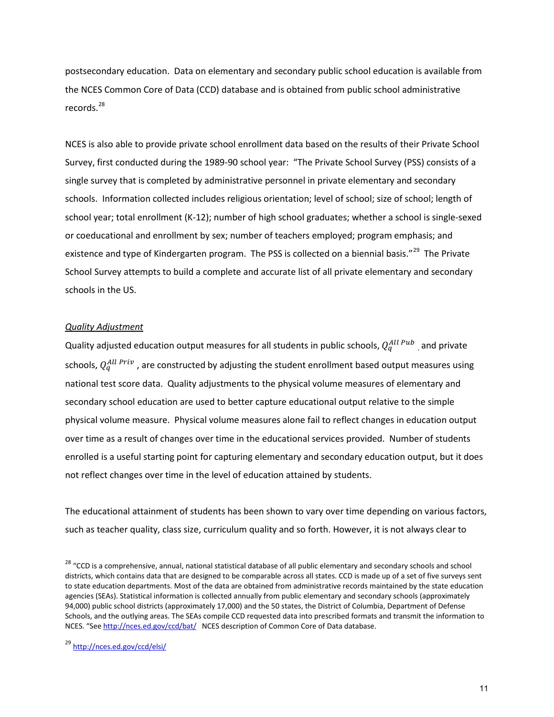postsecondary education. Data on elementary and secondary public school education is available from the NCES Common Core of Data (CCD) database and is obtained from public school administrative records.<sup>[28](#page-12-0)</sup>

NCES is also able to provide private school enrollment data based on the results of their Private School Survey, first conducted during the 1989-90 school year: "The Private School Survey (PSS) consists of a single survey that is completed by administrative personnel in private elementary and secondary schools. Information collected includes religious orientation; level of school; size of school; length of school year; total enrollment (K-12); number of high school graduates; whether a school is single-sexed or coeducational and enrollment by sex; number of teachers employed; program emphasis; and existence and type of Kindergarten program. The PSS is collected on a biennial basis."<sup>29</sup> The Private School Survey attempts to build a complete and accurate list of all private elementary and secondary schools in the US.

#### *Quality Adjustment*

Quality adjusted education output measures for all students in public schools,  $Q_q^{All\,Pub}$  , and private schools,  $Q_q^{All\ Priv}$  , are constructed by adjusting the student enrollment based output measures using national test score data. Quality adjustments to the physical volume measures of elementary and secondary school education are used to better capture educational output relative to the simple physical volume measure. Physical volume measures alone fail to reflect changes in education output over time as a result of changes over time in the educational services provided. Number of students enrolled is a useful starting point for capturing elementary and secondary education output, but it does not reflect changes over time in the level of education attained by students.

The educational attainment of students has been shown to vary over time depending on various factors, such as teacher quality, class size, curriculum quality and so forth. However, it is not always clear to

<span id="page-12-0"></span><sup>&</sup>lt;sup>28</sup> "CCD is a comprehensive, annual, national statistical database of all public elementary and secondary schools and school districts, which contains data that are designed to be comparable across all states. CCD is made up of a set of five surveys sent to state education departments. Most of the data are obtained from administrative records maintained by the state education agencies (SEAs). Statistical information is collected annually from public elementary and secondary schools (approximately 94,000) public school districts (approximately 17,000) and the 50 states, the District of Columbia, Department of Defense Schools, and the outlying areas. The SEAs compile CCD requested data into prescribed formats and transmit the information to NCES. "Se[e http://nces.ed.gov/ccd/bat/](http://nces.ed.gov/ccd/bat/) NCES description of Common Core of Data database.

<span id="page-12-1"></span><sup>&</sup>lt;sup>29</sup> http://nces.ed.gov/ccd/elsi/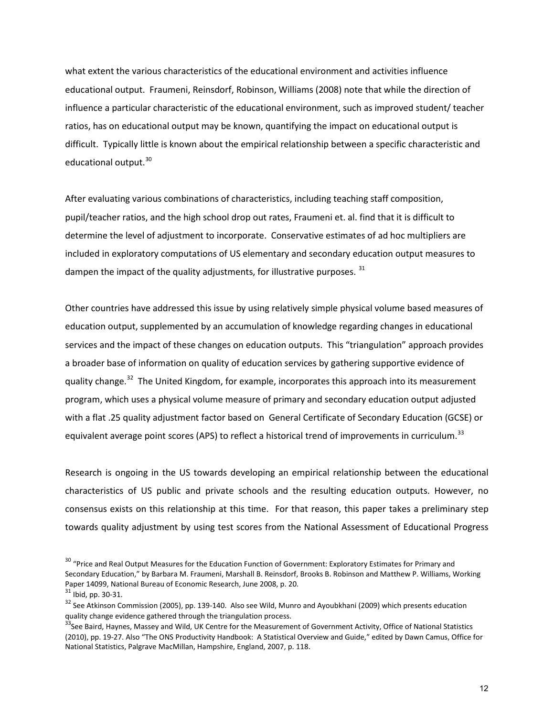what extent the various characteristics of the educational environment and activities influence educational output. Fraumeni, Reinsdorf, Robinson, Williams (2008) note that while the direction of influence a particular characteristic of the educational environment, such as improved student/ teacher ratios, has on educational output may be known, quantifying the impact on educational output is difficult. Typically little is known about the empirical relationship between a specific characteristic and educational output.<sup>30</sup>

After evaluating various combinations of characteristics, including teaching staff composition, pupil/teacher ratios, and the high school drop out rates, Fraumeni et. al. find that it is difficult to determine the level of adjustment to incorporate. Conservative estimates of ad hoc multipliers are included in exploratory computations of US elementary and secondary education output measures to dampen the impact of the quality adjustments, for illustrative purposes.  $31$ 

Other countries have addressed this issue by using relatively simple physical volume based measures of education output, supplemented by an accumulation of knowledge regarding changes in educational services and the impact of these changes on education outputs. This "triangulation" approach provides a broader base of information on quality of education services by gathering supportive evidence of quality change.<sup>[32](#page-13-2)</sup> The United Kingdom, for example, incorporates this approach into its measurement program, which uses a physical volume measure of primary and secondary education output adjusted with a flat .25 quality adjustment factor based on General Certificate of Secondary Education (GCSE) or equivalent average point scores (APS) to reflect a historical trend of improvements in curriculum.<sup>[33](#page-13-3)</sup>

Research is ongoing in the US towards developing an empirical relationship between the educational characteristics of US public and private schools and the resulting education outputs. However, no consensus exists on this relationship at this time. For that reason, this paper takes a preliminary step towards quality adjustment by using test scores from the National Assessment of Educational Progress

<span id="page-13-0"></span><sup>&</sup>lt;sup>30</sup> "Price and Real Output Measures for the Education Function of Government: Exploratory Estimates for Primary and Secondary Education," by Barbara M. Fraumeni, Marshall B. Reinsdorf, Brooks B. Robinson and Matthew P. Williams, Working<br>Paper 14099, National Bureau of Economic Research, June 2008, p. 20.

<span id="page-13-2"></span><span id="page-13-1"></span><sup>&</sup>lt;sup>31</sup> Ibid, pp. 30-31.<br><sup>32</sup> See Atkinson Commission (2005), pp. 139-140. Also see Wild, Munro and Ayoubkhani (2009) which presents education<br>quality change evidence gathered through the triangulation process.

<span id="page-13-3"></span><sup>&</sup>lt;sup>33</sup>See Baird, Haynes, Massey and Wild, UK Centre for the Measurement of Government Activity, Office of National Statistics (2010), pp. 19-27. Also "The ONS Productivity Handbook: A Statistical Overview and Guide," edited by Dawn Camus, Office for National Statistics, Palgrave MacMillan, Hampshire, England, 2007, p. 118.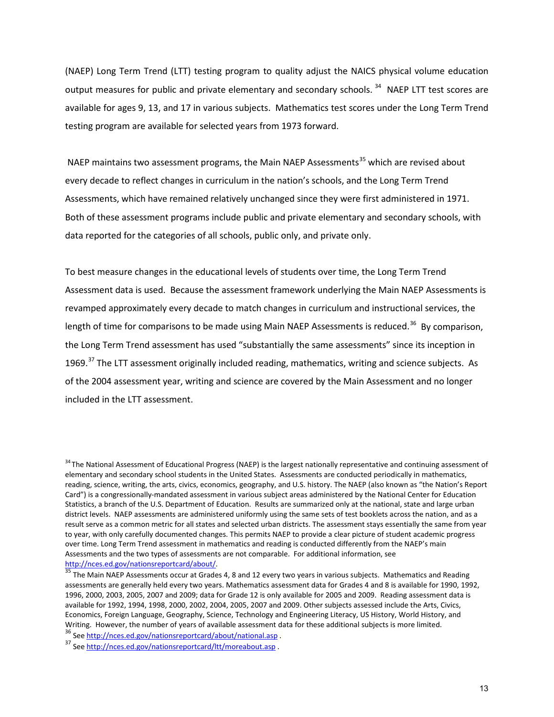(NAEP) Long Term Trend (LTT) testing program to quality adjust the NAICS physical volume education output measures for public and private elementary and secondary schools.<sup>[34](#page-14-0)</sup> NAEP LTT test scores are available for ages 9, 13, and 17 in various subjects. Mathematics test scores under the Long Term Trend testing program are available for selected years from 1973 forward.

NAEP maintains two assessment programs, the Main NAEP Assessments<sup>[35](#page-14-1)</sup> which are revised about every decade to reflect changes in curriculum in the nation's schools, and the Long Term Trend Assessments, which have remained relatively unchanged since they were first administered in 1971. Both of these assessment programs include public and private elementary and secondary schools, with data reported for the categories of all schools, public only, and private only.

To best measure changes in the educational levels of students over time, the Long Term Trend Assessment data is used. Because the assessment framework underlying the Main NAEP Assessments is revamped approximately every decade to match changes in curriculum and instructional services, the length of time for comparisons to be made using Main NAEP Assessments is reduced.<sup>[36](#page-14-2)</sup> By comparison, the Long Term Trend assessment has used "substantially the same assessments" since its inception in 1969.<sup>[37](#page-14-3)</sup> The LTT assessment originally included reading, mathematics, writing and science subjects. As of the 2004 assessment year, writing and science are covered by the Main Assessment and no longer included in the LTT assessment.

<span id="page-14-0"></span><sup>&</sup>lt;sup>34</sup> The National Assessment of Educational Progress (NAEP) is the largest nationally representative and continuing assessment of elementary and secondary school students in the United States. Assessments are conducted periodically in mathematics, reading, science, writing, the arts, civics, economics, geography, and U.S. history. The NAEP (also known as "the Nation's Report Card") is a congressionally-mandated assessment in various subject areas administered by the National Center for Education Statistics, a branch of the U.S. Department of Education. Results are summarized only at the national, state and large urban district levels. NAEP assessments are administered uniformly using the same sets of test booklets across the nation, and as a result serve as a common metric for all states and selected urban districts. The assessment stays essentially the same from year to year, with only carefully documented changes. This permits NAEP to provide a clear picture of student academic progress over time. Long Term Trend assessment in mathematics and reading is conducted differently from the NAEP's main Assessments and the two types of assessments are not comparable. For additional information, see

<span id="page-14-1"></span>http://nces.ed.gov/nationsreportcard/about/.<br><sup>35</sup> The Main NAEP Assessments occur at Grades 4, 8 and 12 every two years in various subjects. Mathematics and Reading assessments are generally held every two years. Mathematics assessment data for Grades 4 and 8 is available for 1990, 1992, 1996, 2000, 2003, 2005, 2007 and 2009; data for Grade 12 is only available for 2005 and 2009. Reading assessment data is available for 1992, 1994, 1998, 2000, 2002, 2004, 2005, 2007 and 2009. Other subjects assessed include the Arts, Civics, Economics, Foreign Language, Geography, Science, Technology and Engineering Literacy, US History, World History, and Writing. However, the number of years of available assessment data for these additional subjects is more limited.

<span id="page-14-2"></span><sup>&</sup>lt;sup>36</sup> See [http://nces.ed.gov/nationsreportcard/about/national.asp .](http://nces.ed.gov/nationsreportcard/about/national.asp)<br><sup>37</sup> See [http://nces.ed.gov/nationsreportcard/ltt/moreabout.asp .](http://nces.ed.gov/nationsreportcard/ltt/moreabout.asp)

<span id="page-14-3"></span>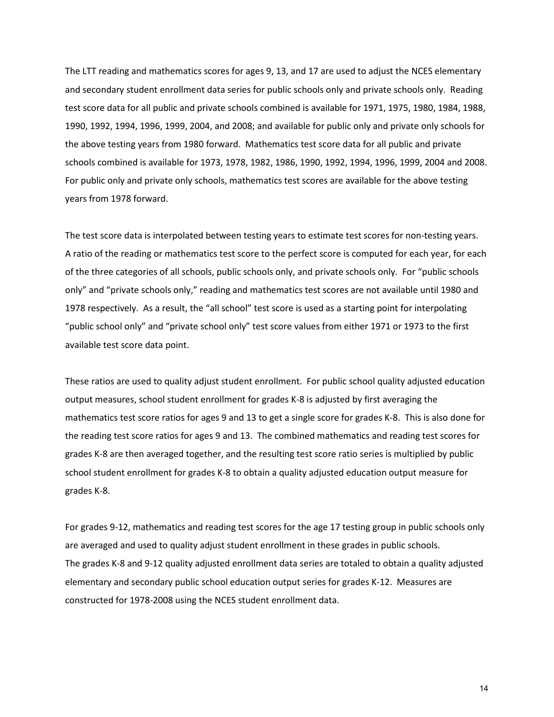The LTT reading and mathematics scores for ages 9, 13, and 17 are used to adjust the NCES elementary and secondary student enrollment data series for public schools only and private schools only. Reading test score data for all public and private schools combined is available for 1971, 1975, 1980, 1984, 1988, 1990, 1992, 1994, 1996, 1999, 2004, and 2008; and available for public only and private only schools for the above testing years from 1980 forward. Mathematics test score data for all public and private schools combined is available for 1973, 1978, 1982, 1986, 1990, 1992, 1994, 1996, 1999, 2004 and 2008. For public only and private only schools, mathematics test scores are available for the above testing years from 1978 forward.

The test score data is interpolated between testing years to estimate test scores for non-testing years. A ratio of the reading or mathematics test score to the perfect score is computed for each year, for each of the three categories of all schools, public schools only, and private schools only. For "public schools only" and "private schools only," reading and mathematics test scores are not available until 1980 and 1978 respectively. As a result, the "all school" test score is used as a starting point for interpolating "public school only" and "private school only" test score values from either 1971 or 1973 to the first available test score data point.

These ratios are used to quality adjust student enrollment. For public school quality adjusted education output measures, school student enrollment for grades K-8 is adjusted by first averaging the mathematics test score ratios for ages 9 and 13 to get a single score for grades K-8. This is also done for the reading test score ratios for ages 9 and 13. The combined mathematics and reading test scores for grades K-8 are then averaged together, and the resulting test score ratio series is multiplied by public school student enrollment for grades K-8 to obtain a quality adjusted education output measure for grades K-8.

For grades 9-12, mathematics and reading test scores for the age 17 testing group in public schools only are averaged and used to quality adjust student enrollment in these grades in public schools. The grades K-8 and 9-12 quality adjusted enrollment data series are totaled to obtain a quality adjusted elementary and secondary public school education output series for grades K-12. Measures are constructed for 1978-2008 using the NCES student enrollment data.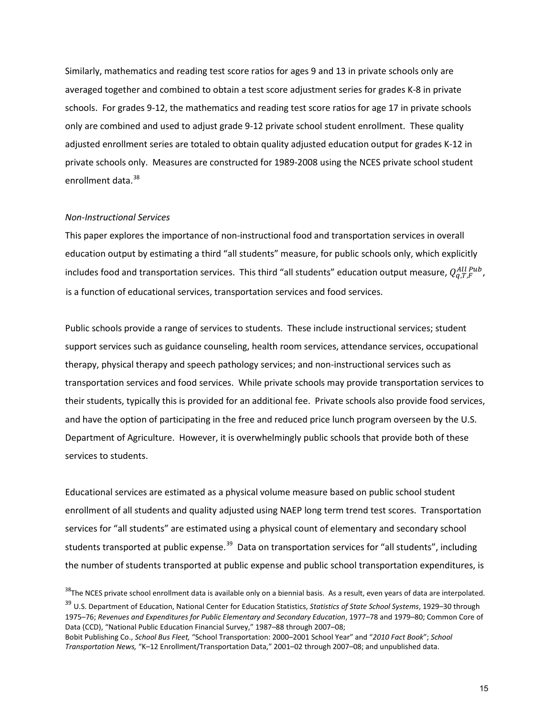Similarly, mathematics and reading test score ratios for ages 9 and 13 in private schools only are averaged together and combined to obtain a test score adjustment series for grades K-8 in private schools. For grades 9-12, the mathematics and reading test score ratios for age 17 in private schools only are combined and used to adjust grade 9-12 private school student enrollment. These quality adjusted enrollment series are totaled to obtain quality adjusted education output for grades K-12 in private schools only. Measures are constructed for 1989-2008 using the NCES private school student enrollment data.<sup>[38](#page-16-0)</sup>

#### *Non-Instructional Services*

This paper explores the importance of non-instructional food and transportation services in overall education output by estimating a third "all students" measure, for public schools only, which explicitly includes food and transportation services. This third "all students" education output measure,  $Q_{q,T,F}^{All\,Pub}$  , is a function of educational services, transportation services and food services.

Public schools provide a range of services to students. These include instructional services; student support services such as guidance counseling, health room services, attendance services, occupational therapy, physical therapy and speech pathology services; and non-instructional services such as transportation services and food services. While private schools may provide transportation services to their students, typically this is provided for an additional fee. Private schools also provide food services, and have the option of participating in the free and reduced price lunch program overseen by the U.S. Department of Agriculture. However, it is overwhelmingly public schools that provide both of these services to students.

Educational services are estimated as a physical volume measure based on public school student enrollment of all students and quality adjusted using NAEP long term trend test scores. Transportation services for "all students" are estimated using a physical count of elementary and secondary school students transported at public expense.<sup>[39](#page-16-1)</sup> Data on transportation services for "all students", including the number of students transported at public expense and public school transportation expenditures, is

<span id="page-16-1"></span><span id="page-16-0"></span><sup>38</sup>The NCES private school enrollment data is available only on a biennial basis. As a result, even years of data are interpolated.<br><sup>39</sup> U.S. Department of Education, National Center for Education Statistics, Statistics o 1975–76; *Revenues and Expenditures for Public Elementary and Secondary Education*, 1977–78 and 1979–80; Common Core of Data (CCD), "National Public Education Financial Survey," 1987–88 through 2007–08; Bobit Publishing Co., *School Bus Fleet,* "School Transportation: 2000–2001 School Year" and "*2010 Fact Book*"; *School Transportation News,* "K–12 Enrollment/Transportation Data," 2001–02 through 2007–08; and unpublished data.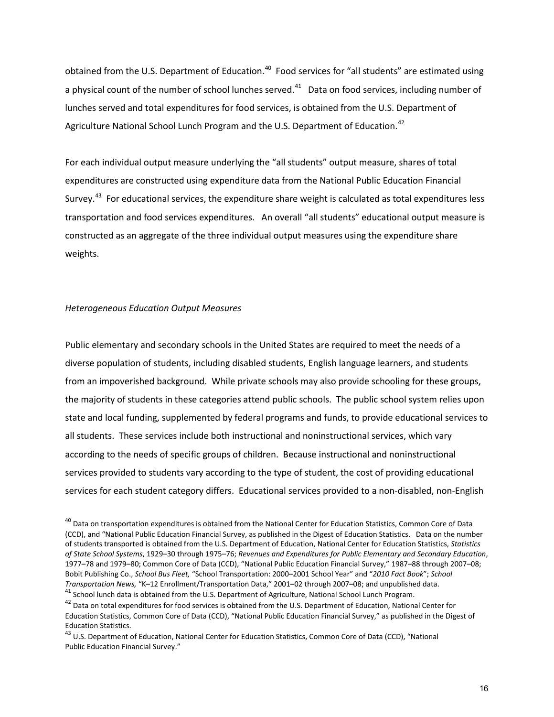obtained from the U.S. Department of Education.<sup>40</sup> Food services for "all students" are estimated using a physical count of the number of school lunches served. $41$  Data on food services, including number of lunches served and total expenditures for food services, is obtained from the U.S. Department of Agriculture National School Lunch Program and the U.S. Department of Education.<sup>[42](#page-17-2)</sup>

For each individual output measure underlying the "all students" output measure, shares of total expenditures are constructed using expenditure data from the National Public Education Financial Survey.<sup>[43](#page-17-3)</sup> For educational services, the expenditure share weight is calculated as total expenditures less transportation and food services expenditures. An overall "all students" educational output measure is constructed as an aggregate of the three individual output measures using the expenditure share weights.

#### *Heterogeneous Education Output Measures*

Public elementary and secondary schools in the United States are required to meet the needs of a diverse population of students, including disabled students, English language learners, and students from an impoverished background. While private schools may also provide schooling for these groups, the majority of students in these categories attend public schools. The public school system relies upon state and local funding, supplemented by federal programs and funds, to provide educational services to all students. These services include both instructional and noninstructional services, which vary according to the needs of specific groups of children. Because instructional and noninstructional services provided to students vary according to the type of student, the cost of providing educational services for each student category differs. Educational services provided to a non-disabled, non-English

<span id="page-17-0"></span><sup>&</sup>lt;sup>40</sup> Data on transportation expenditures is obtained from the National Center for Education Statistics, Common Core of Data (CCD), and "National Public Education Financial Survey, as published in the Digest of Education Statistics. Data on the number of students transported is obtained from the U.S. Department of Education, National Center for Education Statistics, *Statistics of State School Systems*, 1929–30 through 1975–76; *Revenues and Expenditures for Public Elementary and Secondary Education*, 1977–78 and 1979–80; Common Core of Data (CCD), "National Public Education Financial Survey," 1987–88 through 2007–08; Bobit Publishing Co., *School Bus Fleet,* "School Transportation: 2000–2001 School Year" and "*2010 Fact Book*"; *School*  <sup>41</sup> School lunch data is obtained from the U.S. Department of Agriculture, National School Lunch Program.

<span id="page-17-2"></span><span id="page-17-1"></span><sup>&</sup>lt;sup>42</sup> Data on total expenditures for food services is obtained from the U.S. Department of Education, National Center for Education Statistics, Common Core of Data (CCD), "National Public Education Financial Survey," as published in the Digest of Education Statistics.

<span id="page-17-3"></span><sup>&</sup>lt;sup>43</sup> U.S. Department of Education, National Center for Education Statistics, Common Core of Data (CCD), "National Public Education Financial Survey."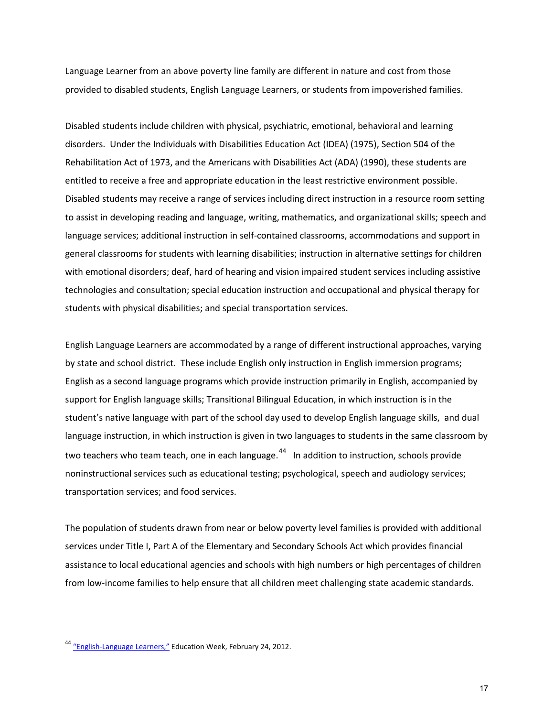Language Learner from an above poverty line family are different in nature and cost from those provided to disabled students, English Language Learners, or students from impoverished families.

Disabled students include children with physical, psychiatric, emotional, behavioral and learning disorders. Under the Individuals with Disabilities Education Act (IDEA) (1975), Section 504 of the Rehabilitation Act of 1973, and the Americans with Disabilities Act (ADA) (1990), these students are entitled to receive a free and appropriate education in the least restrictive environment possible. Disabled students may receive a range of services including direct instruction in a resource room setting to assist in developing reading and language, writing, mathematics, and organizational skills; speech and language services; additional instruction in self-contained classrooms, accommodations and support in general classrooms for students with learning disabilities; instruction in alternative settings for children with emotional disorders; deaf, hard of hearing and vision impaired student services including assistive technologies and consultation; special education instruction and occupational and physical therapy for students with physical disabilities; and special transportation services.

English Language Learners are accommodated by a range of different instructional approaches, varying by state and school district. These include English only instruction in English immersion programs; English as a second language programs which provide instruction primarily in English, accompanied by support for English language skills; Transitional Bilingual Education, in which instruction is in the student's native language with part of the school day used to develop English language skills, and dual language instruction, in which instruction is given in two languages to students in the same classroom by two teachers who team teach, one in each language.<sup>[44](#page-18-0)</sup> In addition to instruction, schools provide noninstructional services such as educational testing; psychological, speech and audiology services; transportation services; and food services.

The population of students drawn from near or below poverty level families is provided with additional services under Title I, Part A of the Elementary and Secondary Schools Act which provides financial assistance to local educational agencies and schools with high numbers or high percentages of children from low-income families to help ensure that all children meet challenging state academic standards.

17

<span id="page-18-0"></span><sup>&</sup>lt;sup>44</sup> ["English-Language Learners,"](http://www.edweek.org/ew/issues/english-language-learners/) Education Week, February 24, 2012.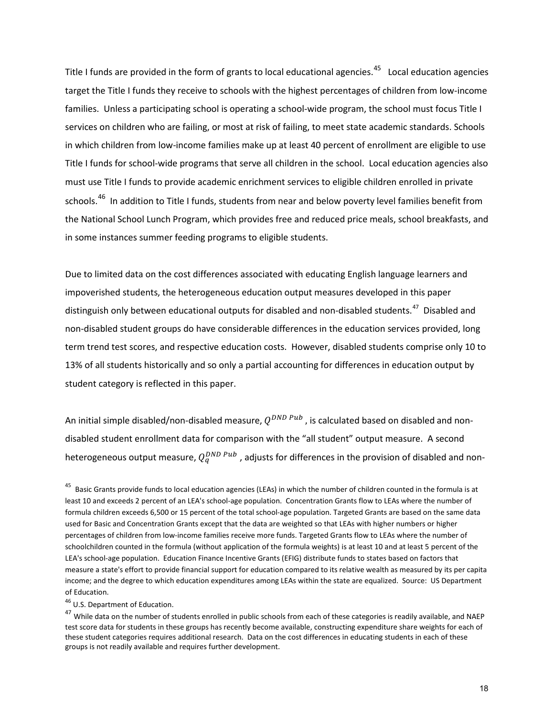Title I funds are provided in the form of grants to local educational agencies.<sup>[45](#page-19-0)</sup> Local education agencies target the Title I funds they receive to schools with the highest percentages of children from low-income families. Unless a participating school is operating a school-wide program, the school must focus Title I services on children who are failing, or most at risk of failing, to meet state academic standards. Schools in which children from low-income families make up at least 40 percent of enrollment are eligible to use Title I funds for school-wide programs that serve all children in the school. Local education agencies also must use Title I funds to provide academic enrichment services to eligible children enrolled in private schools.<sup>46</sup> In addition to Title I funds, students from near and below poverty level families benefit from the National School Lunch Program, which provides free and reduced price meals, school breakfasts, and in some instances summer feeding programs to eligible students.

Due to limited data on the cost differences associated with educating English language learners and impoverished students, the heterogeneous education output measures developed in this paper distinguish only between educational outputs for disabled and non-disabled students.<sup>[47](#page-19-2)</sup> Disabled and non-disabled student groups do have considerable differences in the education services provided, long term trend test scores, and respective education costs. However, disabled students comprise only 10 to 13% of all students historically and so only a partial accounting for differences in education output by student category is reflected in this paper.

An initial simple disabled/non-disabled measure,  $Q^{DND\,Pub}$ , is calculated based on disabled and nondisabled student enrollment data for comparison with the "all student" output measure. A second heterogeneous output measure,  $Q_q^{DND\,Pub}$  , adjusts for differences in the provision of disabled and non-

<span id="page-19-1"></span>46 U.S. Department of Education.

<span id="page-19-0"></span><sup>&</sup>lt;sup>45</sup> Basic Grants provide funds to local education agencies (LEAs) in which the number of children counted in the formula is at least 10 and exceeds 2 percent of an LEA's school-age population. Concentration Grants flow to LEAs where the number of formula children exceeds 6,500 or 15 percent of the total school-age population. Targeted Grants are based on the same data used for Basic and Concentration Grants except that the data are weighted so that LEAs with higher numbers or higher percentages of children from low-income families receive more funds. Targeted Grants flow to LEAs where the number of schoolchildren counted in the formula (without application of the formula weights) is at least 10 and at least 5 percent of the LEA's school-age population. Education Finance Incentive Grants (EFIG) distribute funds to states based on factors that measure a state's effort to provide financial support for education compared to its relative wealth as measured by its per capita income; and the degree to which education expenditures among LEAs within the state are equalized. Source: US Department of Education.

<span id="page-19-2"></span><sup>&</sup>lt;sup>47</sup> While data on the number of students enrolled in public schools from each of these categories is readily available, and NAEP test score data for students in these groups has recently become available, constructing expenditure share weights for each of these student categories requires additional research. Data on the cost differences in educating students in each of these groups is not readily available and requires further development.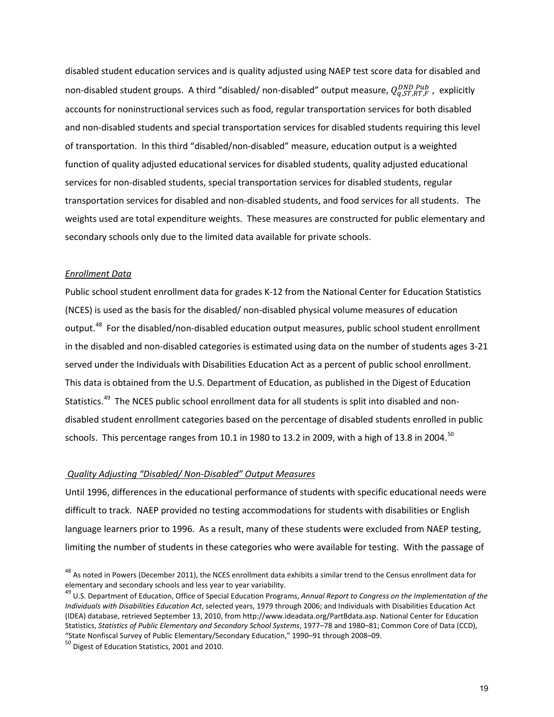disabled student education services and is quality adjusted using NAEP test score data for disabled and non-disabled student groups. A third "disabled/ non-disabled" output measure,  $Q_{q,sT,RT,F}^{DND\,Pub}$ , explicitly accounts for noninstructional services such as food, regular transportation services for both disabled and non-disabled students and special transportation services for disabled students requiring this level of transportation. In this third "disabled/non-disabled" measure, education output is a weighted function of quality adjusted educational services for disabled students, quality adjusted educational services for non-disabled students, special transportation services for disabled students, regular transportation services for disabled and non-disabled students, and food services for all students. The weights used are total expenditure weights. These measures are constructed for public elementary and secondary schools only due to the limited data available for private schools.

## *Enrollment Data*

Public school student enrollment data for grades K-12 from the National Center for Education Statistics (NCES) is used as the basis for the disabled/ non-disabled physical volume measures of education output.<sup>48</sup> For the disabled/non-disabled education output measures, public school student enrollment in the disabled and non-disabled categories is estimated using data on the number of students ages 3-21 served under the Individuals with Disabilities Education Act as a percent of public school enrollment. This data is obtained from the U.S. Department of Education, as published in the Digest of Education Statistics.<sup>49</sup> The NCES public school enrollment data for all students is split into disabled and nondisabled student enrollment categories based on the percentage of disabled students enrolled in public schools. This percentage ranges from 10.1 in 1980 to 13.2 in 2009, with a high of 13.8 in 2004.<sup>50</sup>

## *Quality Adjusting "Disabled/ Non-Disabled" Output Measures*

Until 1996, differences in the educational performance of students with specific educational needs were difficult to track. NAEP provided no testing accommodations for students with disabilities or English language learners prior to 1996. As a result, many of these students were excluded from NAEP testing, limiting the number of students in these categories who were available for testing. With the passage of

<span id="page-20-0"></span><sup>&</sup>lt;sup>48</sup> As noted in Powers (December 2011), the NCES enrollment data exhibits a similar trend to the Census enrollment data for elementary and secondary schools and less year to year variability.<br><sup>49</sup> U.S. Department of Education, Office of Special Education Programs, *Annual Report to Congress on the Implementation of the* 

<span id="page-20-1"></span>*Individuals with Disabilities Education Act*, selected years, 1979 through 2006; and Individuals with Disabilities Education Act (IDEA) database, retrieved September 13, 2010, from http://www.ideadata.org/PartBdata.asp. National Center for Education Statistics, *Statistics of Public Elementary and Secondary School Systems*, 1977–78 and 1980–81; Common Core of Data (CCD), "State Nonfiscal Survey of Public Elementary/Secondary Education," 1990–91 through 2008–09.<br><sup>50</sup> Digest of Education Statistics, 2001 and 2010.

<span id="page-20-2"></span>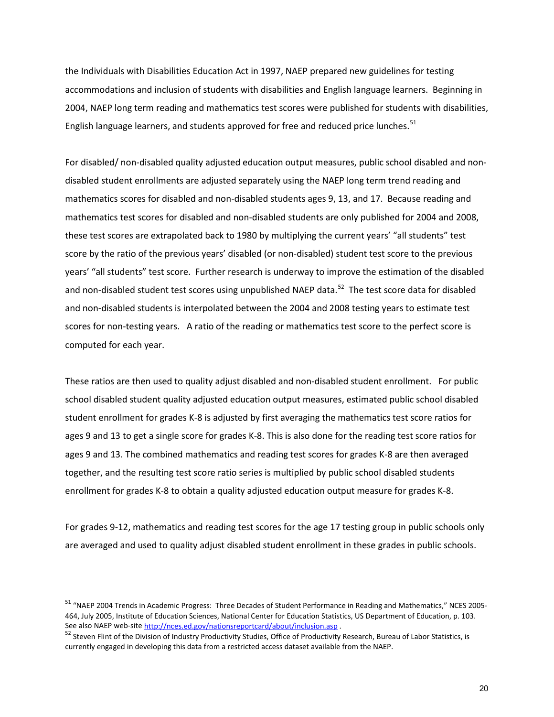the Individuals with Disabilities Education Act in 1997, NAEP prepared new guidelines for testing accommodations and inclusion of students with disabilities and English language learners. Beginning in 2004, NAEP long term reading and mathematics test scores were published for students with disabilities, English language learners, and students approved for free and reduced price lunches.<sup>[51](#page-21-0)</sup>

For disabled/ non-disabled quality adjusted education output measures, public school disabled and nondisabled student enrollments are adjusted separately using the NAEP long term trend reading and mathematics scores for disabled and non-disabled students ages 9, 13, and 17. Because reading and mathematics test scores for disabled and non-disabled students are only published for 2004 and 2008, these test scores are extrapolated back to 1980 by multiplying the current years' "all students" test score by the ratio of the previous years' disabled (or non-disabled) student test score to the previous years' "all students" test score. Further research is underway to improve the estimation of the disabled and non-disabled student test scores using unpublished NAEP data.<sup>52</sup> The test score data for disabled and non-disabled students is interpolated between the 2004 and 2008 testing years to estimate test scores for non-testing years. A ratio of the reading or mathematics test score to the perfect score is computed for each year.

These ratios are then used to quality adjust disabled and non-disabled student enrollment. For public school disabled student quality adjusted education output measures, estimated public school disabled student enrollment for grades K-8 is adjusted by first averaging the mathematics test score ratios for ages 9 and 13 to get a single score for grades K-8. This is also done for the reading test score ratios for ages 9 and 13. The combined mathematics and reading test scores for grades K-8 are then averaged together, and the resulting test score ratio series is multiplied by public school disabled students enrollment for grades K-8 to obtain a quality adjusted education output measure for grades K-8.

For grades 9-12, mathematics and reading test scores for the age 17 testing group in public schools only are averaged and used to quality adjust disabled student enrollment in these grades in public schools.

<span id="page-21-0"></span><sup>51</sup> "NAEP 2004 Trends in Academic Progress: Three Decades of Student Performance in Reading and Mathematics," NCES 2005- 464, July 2005, Institute of Education Sciences, National Center for Education Statistics, US Department of Education, p. 103.<br>See also NAEP web-site http://nces.ed.gov/nationsreportcard/about/inclusion.asp.

<span id="page-21-1"></span> $52$  Steven Flint of the Division of Industry Productivity Studies, Office of Productivity Research, Bureau of Labor Statistics, is currently engaged in developing this data from a restricted access dataset available from the NAEP.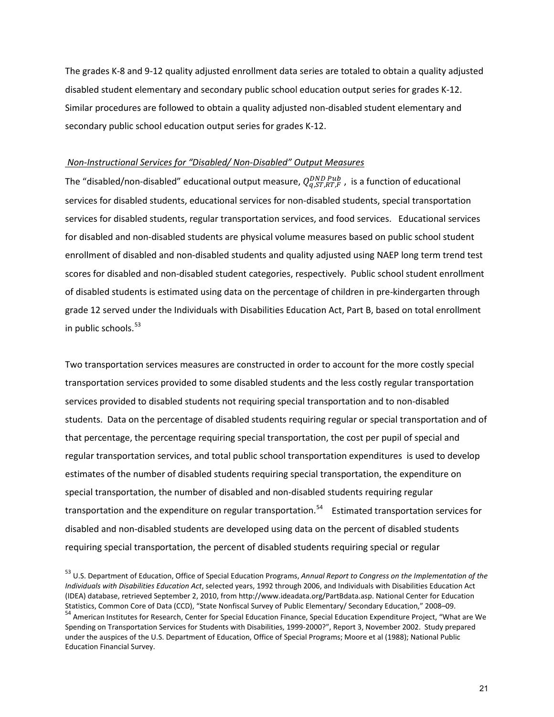The grades K-8 and 9-12 quality adjusted enrollment data series are totaled to obtain a quality adjusted disabled student elementary and secondary public school education output series for grades K-12. Similar procedures are followed to obtain a quality adjusted non-disabled student elementary and secondary public school education output series for grades K-12.

## *Non-Instructional Services for "Disabled/ Non-Disabled" Output Measures*

The "disabled/non-disabled" educational output measure,  $Q_{q,ST,RT,F}^{DND\,Pub}$  , is a function of educational services for disabled students, educational services for non-disabled students, special transportation services for disabled students, regular transportation services, and food services. Educational services for disabled and non-disabled students are physical volume measures based on public school student enrollment of disabled and non-disabled students and quality adjusted using NAEP long term trend test scores for disabled and non-disabled student categories, respectively. Public school student enrollment of disabled students is estimated using data on the percentage of children in pre-kindergarten through grade 12 served under the Individuals with Disabilities Education Act, Part B, based on total enrollment in public schools.<sup>53</sup>

Two transportation services measures are constructed in order to account for the more costly special transportation services provided to some disabled students and the less costly regular transportation services provided to disabled students not requiring special transportation and to non-disabled students. Data on the percentage of disabled students requiring regular or special transportation and of that percentage, the percentage requiring special transportation, the cost per pupil of special and regular transportation services, and total public school transportation expenditures is used to develop estimates of the number of disabled students requiring special transportation, the expenditure on special transportation, the number of disabled and non-disabled students requiring regular transportation and the expenditure on regular transportation.<sup>54</sup> Estimated transportation services for disabled and non-disabled students are developed using data on the percent of disabled students requiring special transportation, the percent of disabled students requiring special or regular

<span id="page-22-1"></span><span id="page-22-0"></span><sup>53</sup> U.S. Department of Education, Office of Special Education Programs, *Annual Report to Congress on the Implementation of the Individuals with Disabilities Education Act*, selected years, 1992 through 2006, and Individuals with Disabilities Education Act (IDEA) database, retrieved September 2, 2010, from http://www.ideadata.org/PartBdata.asp. National Center for Education Statistics, Common Core of Data (CCD), "State Nonfiscal Survey of Public Elementary/ Secondary Education," 2008–09.<br><sup>54</sup> American Institutes for Research, Center for Special Education Finance, Special Education Expenditure Spending on Transportation Services for Students with Disabilities, 1999-2000?", Report 3, November 2002. Study prepared under the auspices of the U.S. Department of Education, Office of Special Programs; Moore et al (1988); National Public Education Financial Survey.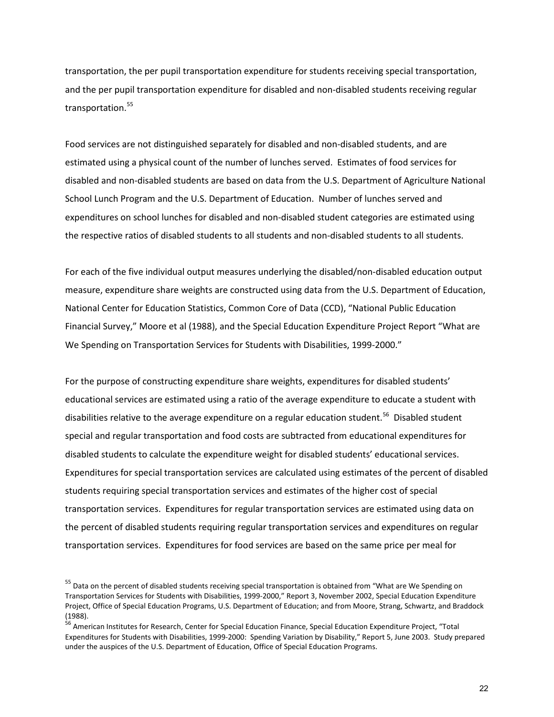transportation, the per pupil transportation expenditure for students receiving special transportation, and the per pupil transportation expenditure for disabled and non-disabled students receiving regular transportation.<sup>[55](#page-23-0)</sup>

Food services are not distinguished separately for disabled and non-disabled students, and are estimated using a physical count of the number of lunches served. Estimates of food services for disabled and non-disabled students are based on data from the U.S. Department of Agriculture National School Lunch Program and the U.S. Department of Education. Number of lunches served and expenditures on school lunches for disabled and non-disabled student categories are estimated using the respective ratios of disabled students to all students and non-disabled students to all students.

For each of the five individual output measures underlying the disabled/non-disabled education output measure, expenditure share weights are constructed using data from the U.S. Department of Education, National Center for Education Statistics, Common Core of Data (CCD), "National Public Education Financial Survey," Moore et al (1988), and the Special Education Expenditure Project Report "What are We Spending on Transportation Services for Students with Disabilities, 1999-2000."

For the purpose of constructing expenditure share weights, expenditures for disabled students' educational services are estimated using a ratio of the average expenditure to educate a student with disabilities relative to the average expenditure on a regular education student.<sup>[56](#page-23-1)</sup> Disabled student special and regular transportation and food costs are subtracted from educational expenditures for disabled students to calculate the expenditure weight for disabled students' educational services. Expenditures for special transportation services are calculated using estimates of the percent of disabled students requiring special transportation services and estimates of the higher cost of special transportation services. Expenditures for regular transportation services are estimated using data on the percent of disabled students requiring regular transportation services and expenditures on regular transportation services. Expenditures for food services are based on the same price per meal for

<span id="page-23-0"></span><sup>&</sup>lt;sup>55</sup> Data on the percent of disabled students receiving special transportation is obtained from "What are We Spending on Transportation Services for Students with Disabilities, 1999-2000," Report 3, November 2002, Special Education Expenditure Project, Office of Special Education Programs, U.S. Department of Education; and from Moore, Strang, Schwartz, and Braddock (1988).

<span id="page-23-1"></span><sup>&</sup>lt;sup>56</sup> American Institutes for Research, Center for Special Education Finance, Special Education Expenditure Project, "Total Expenditures for Students with Disabilities, 1999-2000: Spending Variation by Disability," Report 5, June 2003. Study prepared under the auspices of the U.S. Department of Education, Office of Special Education Programs.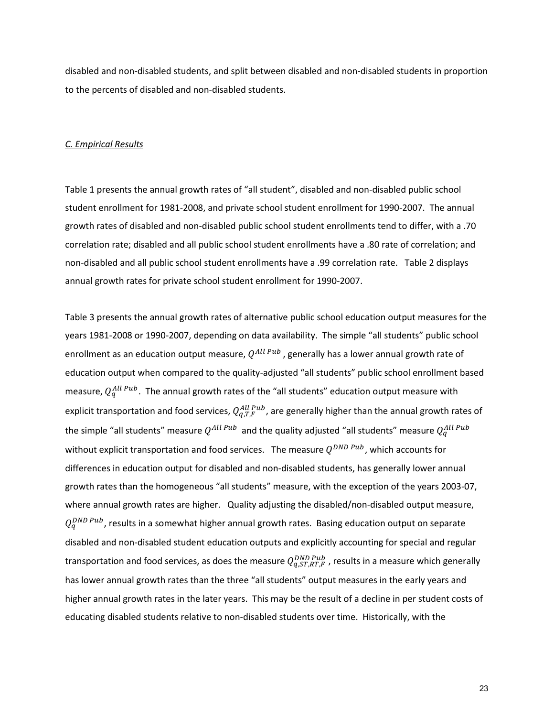disabled and non-disabled students, and split between disabled and non-disabled students in proportion to the percents of disabled and non-disabled students.

#### *C. Empirical Results*

Table 1 presents the annual growth rates of "all student", disabled and non-disabled public school student enrollment for 1981-2008, and private school student enrollment for 1990-2007. The annual growth rates of disabled and non-disabled public school student enrollments tend to differ, with a .70 correlation rate; disabled and all public school student enrollments have a .80 rate of correlation; and non-disabled and all public school student enrollments have a .99 correlation rate. Table 2 displays annual growth rates for private school student enrollment for 1990-2007.

Table 3 presents the annual growth rates of alternative public school education output measures for the years 1981-2008 or 1990-2007, depending on data availability. The simple "all students" public school enrollment as an education output measure,  $Q^{All\,Pub}$ , generally has a lower annual growth rate of education output when compared to the quality-adjusted "all students" public school enrollment based measure,  $Q_q^{All\;Pub}$ . The annual growth rates of the "all students" education output measure with explicit transportation and food services,  $Q_{q,T,F}^{All\;Pub}$  , are generally higher than the annual growth rates of the simple "all students" measure  $Q^{All\,Pub}$  and the quality adjusted "all students" measure  $Q^{All\, Pub}_{q}$ without explicit transportation and food services. The measure  $O^{DND\ Pub}$ , which accounts for differences in education output for disabled and non-disabled students, has generally lower annual growth rates than the homogeneous "all students" measure, with the exception of the years 2003-07, where annual growth rates are higher. Quality adjusting the disabled/non-disabled output measure,  $Q_q^{DND\,Pub}$ , results in a somewhat higher annual growth rates. Basing education output on separate disabled and non-disabled student education outputs and explicitly accounting for special and regular transportation and food services, as does the measure  $Q_{q,ST,RT,F}^{DND\;Pub}$  , results in a measure which generally has lower annual growth rates than the three "all students" output measures in the early years and higher annual growth rates in the later years. This may be the result of a decline in per student costs of educating disabled students relative to non-disabled students over time. Historically, with the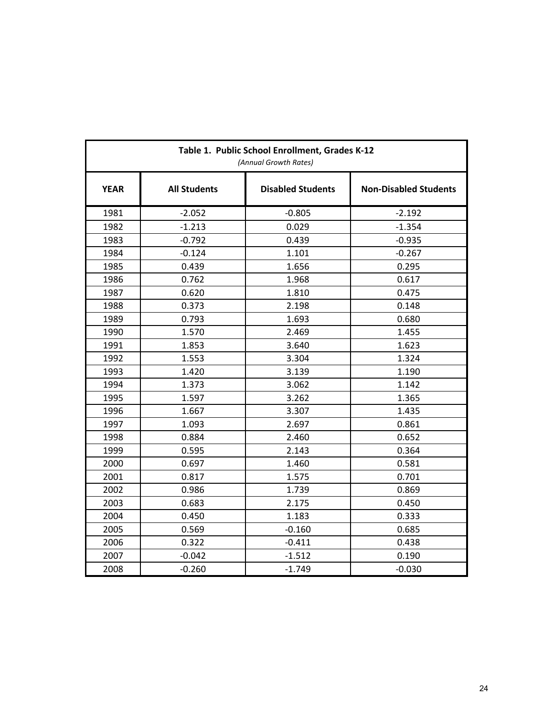| Table 1. Public School Enrollment, Grades K-12<br>(Annual Growth Rates) |                     |                          |                              |  |  |  |  |  |
|-------------------------------------------------------------------------|---------------------|--------------------------|------------------------------|--|--|--|--|--|
| <b>YEAR</b>                                                             | <b>All Students</b> | <b>Disabled Students</b> | <b>Non-Disabled Students</b> |  |  |  |  |  |
| 1981                                                                    | $-2.052$            | $-0.805$                 | $-2.192$                     |  |  |  |  |  |
| 1982                                                                    | $-1.213$            | 0.029                    | $-1.354$                     |  |  |  |  |  |
| 1983                                                                    | $-0.792$            | 0.439                    | $-0.935$                     |  |  |  |  |  |
| 1984                                                                    | $-0.124$            | 1.101                    | $-0.267$                     |  |  |  |  |  |
| 1985                                                                    | 0.439               | 1.656                    | 0.295                        |  |  |  |  |  |
| 1986                                                                    | 0.762               | 1.968                    | 0.617                        |  |  |  |  |  |
| 1987                                                                    | 0.620               | 1.810                    | 0.475                        |  |  |  |  |  |
| 1988                                                                    | 0.373               | 2.198                    | 0.148                        |  |  |  |  |  |
| 1989                                                                    | 0.793               | 1.693                    | 0.680                        |  |  |  |  |  |
| 1990                                                                    | 1.570               | 2.469                    | 1.455                        |  |  |  |  |  |
| 1991                                                                    | 1.853               | 3.640                    | 1.623                        |  |  |  |  |  |
| 1992                                                                    | 1.553               | 3.304                    | 1.324                        |  |  |  |  |  |
| 1993                                                                    | 1.420               | 3.139                    | 1.190                        |  |  |  |  |  |
| 1994                                                                    | 1.373               | 3.062                    | 1.142                        |  |  |  |  |  |
| 1995                                                                    | 1.597               | 3.262                    | 1.365                        |  |  |  |  |  |
| 1996                                                                    | 1.667               | 3.307                    | 1.435                        |  |  |  |  |  |
| 1997                                                                    | 1.093               | 2.697                    | 0.861                        |  |  |  |  |  |
| 1998                                                                    | 0.884               | 2.460                    | 0.652                        |  |  |  |  |  |
| 1999                                                                    | 0.595               | 2.143                    | 0.364                        |  |  |  |  |  |
| 2000                                                                    | 0.697               | 1.460                    | 0.581                        |  |  |  |  |  |
| 2001                                                                    | 0.817               | 1.575                    | 0.701                        |  |  |  |  |  |
| 2002                                                                    | 0.986               | 1.739                    | 0.869                        |  |  |  |  |  |
| 2003                                                                    | 0.683               | 2.175                    | 0.450                        |  |  |  |  |  |
| 2004                                                                    | 0.450               | 1.183                    | 0.333                        |  |  |  |  |  |
| 2005                                                                    | 0.569               | $-0.160$                 | 0.685                        |  |  |  |  |  |
| 2006                                                                    | 0.322               | $-0.411$                 | 0.438                        |  |  |  |  |  |
| 2007                                                                    | $-0.042$            | $-1.512$                 | 0.190                        |  |  |  |  |  |
| 2008                                                                    | $-0.260$            | $-1.749$                 | $-0.030$                     |  |  |  |  |  |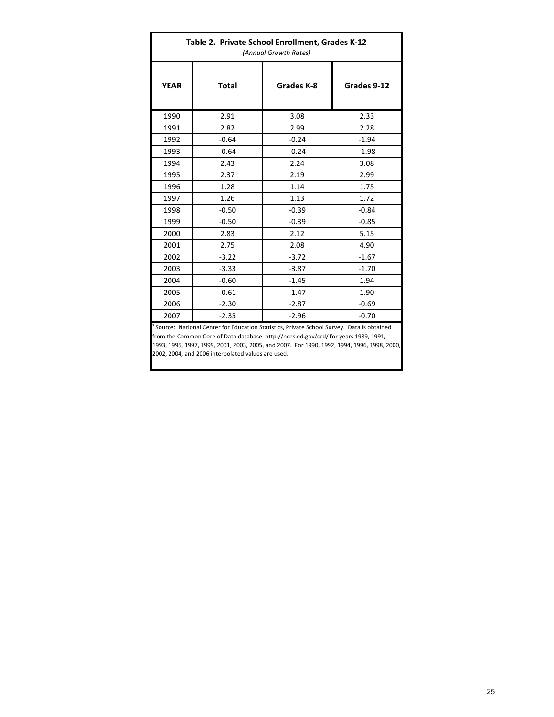| Table 2. Private School Enrollment, Grades K-12<br>(Annual Growth Rates) |         |            |             |  |  |  |  |  |
|--------------------------------------------------------------------------|---------|------------|-------------|--|--|--|--|--|
| <b>YEAR</b>                                                              | Total   | Grades K-8 | Grades 9-12 |  |  |  |  |  |
| 1990                                                                     | 2.91    | 3.08       | 2.33        |  |  |  |  |  |
| 1991                                                                     | 2.82    | 2.99       | 2.28        |  |  |  |  |  |
| 1992                                                                     | $-0.64$ | $-0.24$    | $-1.94$     |  |  |  |  |  |
| 1993                                                                     | $-0.64$ | $-0.24$    | $-1.98$     |  |  |  |  |  |
| 1994                                                                     | 2.43    | 2.24       | 3.08        |  |  |  |  |  |
| 1995                                                                     | 2.37    | 2.19       | 2.99        |  |  |  |  |  |
| 1996                                                                     | 1.28    | 1.14       | 1.75        |  |  |  |  |  |
| 1997                                                                     | 1.26    | 1.13       | 1.72        |  |  |  |  |  |
| 1998                                                                     | $-0.50$ | $-0.39$    | $-0.84$     |  |  |  |  |  |
| 1999                                                                     | $-0.50$ | $-0.39$    | $-0.85$     |  |  |  |  |  |
| 2000                                                                     | 2.83    | 2.12       | 5.15        |  |  |  |  |  |
| 2001                                                                     | 2.75    | 2.08       | 4.90        |  |  |  |  |  |
| 2002                                                                     | $-3.22$ | $-3.72$    | $-1.67$     |  |  |  |  |  |
| 2003                                                                     | $-3.33$ | $-3.87$    | $-1.70$     |  |  |  |  |  |
| 2004                                                                     | $-0.60$ | $-1.45$    | 1.94        |  |  |  |  |  |
| 2005                                                                     | $-0.61$ | $-1.47$    | 1.90        |  |  |  |  |  |
| 2006                                                                     | $-2.30$ | $-2.87$    | $-0.69$     |  |  |  |  |  |
| 2007                                                                     | $-2.35$ | $-2.96$    | $-0.70$     |  |  |  |  |  |

<sup>1</sup> Source: National Center for Education Statistics, Private School Survey. Data is obtained from the Common Core of Data database http://nces.ed.gov/ccd/ for years 1989, 1991, 1993, 1995, 1997, 1999, 2001, 2003, 2005, and 2007. For 1990, 1992, 1994, 1996, 1998, 2000, 2002, 2004, and 2006 interpolated values are used.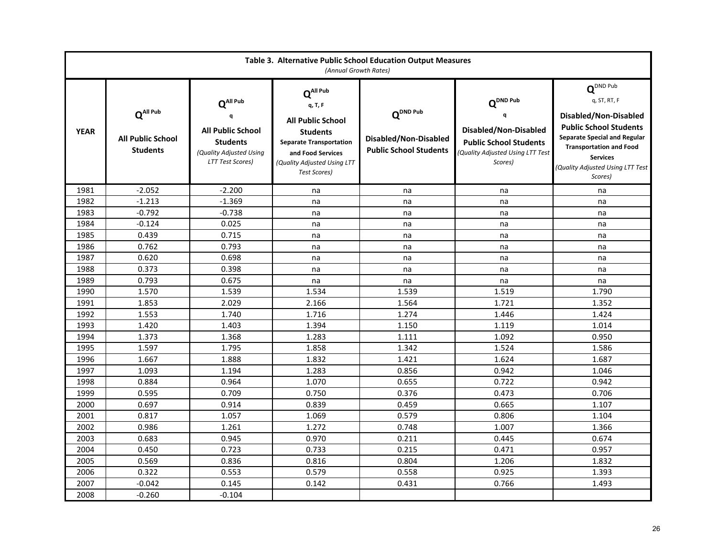| Table 3. Alternative Public School Education Output Measures<br>(Annual Growth Rates) |                                                                     |                                                                                                                           |                                                                                                                                                                                      |                                                                                |                                                                                                                         |                                                                                                                                                                                                                                                    |  |  |  |
|---------------------------------------------------------------------------------------|---------------------------------------------------------------------|---------------------------------------------------------------------------------------------------------------------------|--------------------------------------------------------------------------------------------------------------------------------------------------------------------------------------|--------------------------------------------------------------------------------|-------------------------------------------------------------------------------------------------------------------------|----------------------------------------------------------------------------------------------------------------------------------------------------------------------------------------------------------------------------------------------------|--|--|--|
| <b>YEAR</b>                                                                           | $Q^{\text{All Pub}}$<br><b>All Public School</b><br><b>Students</b> | $Q^{\text{All Pub}}$<br><b>All Public School</b><br><b>Students</b><br>(Quality Adjusted Using<br><b>LTT Test Scores)</b> | $Q^{\text{All Pub}}$<br>q, T, F<br><b>All Public School</b><br><b>Students</b><br><b>Separate Transportation</b><br>and Food Services<br>(Quality Adjusted Using LTT<br>Test Scores) | $Q^{\text{DND Pub}}$<br>Disabled/Non-Disabled<br><b>Public School Students</b> | $Q^{DND\ Pub}$<br>Disabled/Non-Disabled<br><b>Public School Students</b><br>(Quality Adjusted Using LTT Test<br>Scores) | $\mathbf{Q}^{\text{DND Pub}}$<br>q, ST, RT, F<br>Disabled/Non-Disabled<br><b>Public School Students</b><br><b>Separate Special and Regular</b><br><b>Transportation and Food</b><br><b>Services</b><br>(Quality Adjusted Using LTT Test<br>Scores) |  |  |  |
| 1981                                                                                  | $-2.052$                                                            | $-2.200$                                                                                                                  | na                                                                                                                                                                                   | na                                                                             | na                                                                                                                      | na                                                                                                                                                                                                                                                 |  |  |  |
| 1982                                                                                  | $-1.213$                                                            | $-1.369$                                                                                                                  | na                                                                                                                                                                                   | na                                                                             | na                                                                                                                      | na                                                                                                                                                                                                                                                 |  |  |  |
| 1983                                                                                  | $-0.792$                                                            | $-0.738$                                                                                                                  | na                                                                                                                                                                                   | na                                                                             | na                                                                                                                      | na                                                                                                                                                                                                                                                 |  |  |  |
| 1984                                                                                  | $-0.124$                                                            | 0.025                                                                                                                     | na                                                                                                                                                                                   | na                                                                             | na                                                                                                                      | na                                                                                                                                                                                                                                                 |  |  |  |
| 1985                                                                                  | 0.439                                                               | 0.715                                                                                                                     | na                                                                                                                                                                                   | na                                                                             | na                                                                                                                      | na                                                                                                                                                                                                                                                 |  |  |  |
| 1986                                                                                  | 0.762                                                               | 0.793                                                                                                                     | na                                                                                                                                                                                   | na                                                                             | na                                                                                                                      | na                                                                                                                                                                                                                                                 |  |  |  |
| 1987                                                                                  | 0.620                                                               | 0.698                                                                                                                     | na                                                                                                                                                                                   | na                                                                             | na                                                                                                                      | na                                                                                                                                                                                                                                                 |  |  |  |
| 1988                                                                                  | 0.373                                                               | 0.398                                                                                                                     | na                                                                                                                                                                                   | na                                                                             | na                                                                                                                      | na                                                                                                                                                                                                                                                 |  |  |  |
| 1989                                                                                  | 0.793                                                               | 0.675                                                                                                                     | na                                                                                                                                                                                   | na                                                                             | na                                                                                                                      | na                                                                                                                                                                                                                                                 |  |  |  |
| 1990                                                                                  | 1.570                                                               | 1.539                                                                                                                     | 1.534                                                                                                                                                                                | 1.539                                                                          | 1.519                                                                                                                   | 1.790                                                                                                                                                                                                                                              |  |  |  |
| 1991                                                                                  | 1.853                                                               | 2.029                                                                                                                     | 2.166                                                                                                                                                                                | 1.564                                                                          | 1.721                                                                                                                   | 1.352                                                                                                                                                                                                                                              |  |  |  |
| 1992                                                                                  | 1.553                                                               | 1.740                                                                                                                     | 1.716                                                                                                                                                                                | 1.274                                                                          | 1.446                                                                                                                   | 1.424                                                                                                                                                                                                                                              |  |  |  |
| 1993                                                                                  | 1.420                                                               | 1.403                                                                                                                     | 1.394                                                                                                                                                                                | 1.150                                                                          | 1.119                                                                                                                   | 1.014                                                                                                                                                                                                                                              |  |  |  |
| 1994                                                                                  | 1.373                                                               | 1.368                                                                                                                     | 1.283                                                                                                                                                                                | 1.111                                                                          | 1.092                                                                                                                   | 0.950                                                                                                                                                                                                                                              |  |  |  |
| 1995                                                                                  | 1.597                                                               | 1.795                                                                                                                     | 1.858                                                                                                                                                                                | 1.342                                                                          | 1.524                                                                                                                   | 1.586                                                                                                                                                                                                                                              |  |  |  |
| 1996                                                                                  | 1.667                                                               | 1.888                                                                                                                     | 1.832                                                                                                                                                                                | 1.421                                                                          | 1.624                                                                                                                   | 1.687                                                                                                                                                                                                                                              |  |  |  |
| 1997                                                                                  | 1.093                                                               | 1.194                                                                                                                     | 1.283                                                                                                                                                                                | 0.856                                                                          | 0.942                                                                                                                   | 1.046                                                                                                                                                                                                                                              |  |  |  |
| 1998                                                                                  | 0.884                                                               | 0.964                                                                                                                     | 1.070                                                                                                                                                                                | 0.655                                                                          | 0.722                                                                                                                   | 0.942                                                                                                                                                                                                                                              |  |  |  |
| 1999                                                                                  | 0.595                                                               | 0.709                                                                                                                     | 0.750                                                                                                                                                                                | 0.376                                                                          | 0.473                                                                                                                   | 0.706                                                                                                                                                                                                                                              |  |  |  |
| 2000                                                                                  | 0.697                                                               | 0.914                                                                                                                     | 0.839                                                                                                                                                                                | 0.459                                                                          | 0.665                                                                                                                   | 1.107                                                                                                                                                                                                                                              |  |  |  |
| 2001                                                                                  | 0.817                                                               | 1.057                                                                                                                     | 1.069                                                                                                                                                                                | 0.579                                                                          | 0.806                                                                                                                   | 1.104                                                                                                                                                                                                                                              |  |  |  |
| 2002                                                                                  | 0.986                                                               | 1.261                                                                                                                     | 1.272                                                                                                                                                                                | 0.748                                                                          | 1.007                                                                                                                   | 1.366                                                                                                                                                                                                                                              |  |  |  |
| 2003                                                                                  | 0.683                                                               | 0.945                                                                                                                     | 0.970                                                                                                                                                                                | 0.211                                                                          | 0.445                                                                                                                   | 0.674                                                                                                                                                                                                                                              |  |  |  |
| 2004                                                                                  | 0.450                                                               | 0.723                                                                                                                     | 0.733                                                                                                                                                                                | 0.215                                                                          | 0.471                                                                                                                   | 0.957                                                                                                                                                                                                                                              |  |  |  |
| 2005                                                                                  | 0.569                                                               | 0.836                                                                                                                     | 0.816                                                                                                                                                                                | 0.804                                                                          | 1.206                                                                                                                   | 1.832                                                                                                                                                                                                                                              |  |  |  |
| 2006                                                                                  | 0.322                                                               | 0.553                                                                                                                     | 0.579                                                                                                                                                                                | 0.558                                                                          | 0.925                                                                                                                   | 1.393                                                                                                                                                                                                                                              |  |  |  |
| 2007                                                                                  | $-0.042$                                                            | 0.145                                                                                                                     | 0.142                                                                                                                                                                                | 0.431                                                                          | 0.766                                                                                                                   | 1.493                                                                                                                                                                                                                                              |  |  |  |
| 2008                                                                                  | $-0.260$                                                            | $-0.104$                                                                                                                  |                                                                                                                                                                                      |                                                                                |                                                                                                                         |                                                                                                                                                                                                                                                    |  |  |  |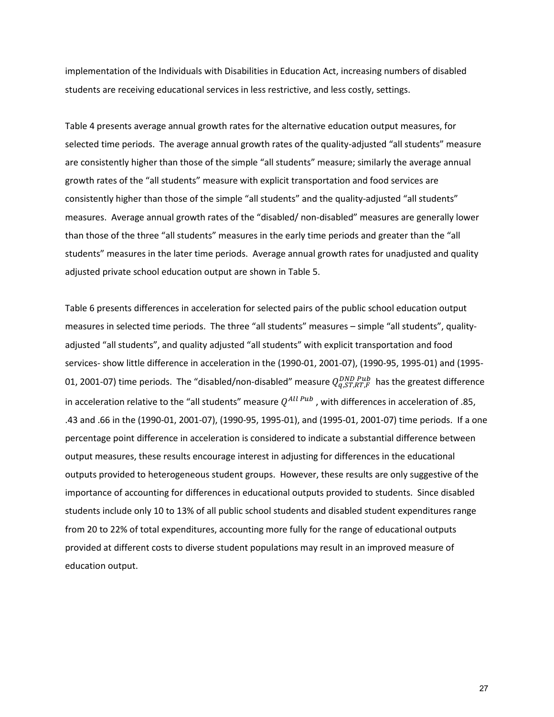implementation of the Individuals with Disabilities in Education Act, increasing numbers of disabled students are receiving educational services in less restrictive, and less costly, settings.

Table 4 presents average annual growth rates for the alternative education output measures, for selected time periods. The average annual growth rates of the quality-adjusted "all students" measure are consistently higher than those of the simple "all students" measure; similarly the average annual growth rates of the "all students" measure with explicit transportation and food services are consistently higher than those of the simple "all students" and the quality-adjusted "all students" measures. Average annual growth rates of the "disabled/ non-disabled" measures are generally lower than those of the three "all students" measures in the early time periods and greater than the "all students" measures in the later time periods. Average annual growth rates for unadjusted and quality adjusted private school education output are shown in Table 5.

Table 6 presents differences in acceleration for selected pairs of the public school education output measures in selected time periods. The three "all students" measures – simple "all students", qualityadjusted "all students", and quality adjusted "all students" with explicit transportation and food services- show little difference in acceleration in the (1990-01, 2001-07), (1990-95, 1995-01) and (1995- 01, 2001-07) time periods. The "disabled/non-disabled" measure  $Q_{q,ST,RT,F}^{DND\,Pub}$  has the greatest difference in acceleration relative to the "all students" measure  $Q^{All\,Pub}$ , with differences in acceleration of .85, .43 and .66 in the (1990-01, 2001-07), (1990-95, 1995-01), and (1995-01, 2001-07) time periods. If a one percentage point difference in acceleration is considered to indicate a substantial difference between output measures, these results encourage interest in adjusting for differences in the educational outputs provided to heterogeneous student groups. However, these results are only suggestive of the importance of accounting for differences in educational outputs provided to students. Since disabled students include only 10 to 13% of all public school students and disabled student expenditures range from 20 to 22% of total expenditures, accounting more fully for the range of educational outputs provided at different costs to diverse student populations may result in an improved measure of education output.

27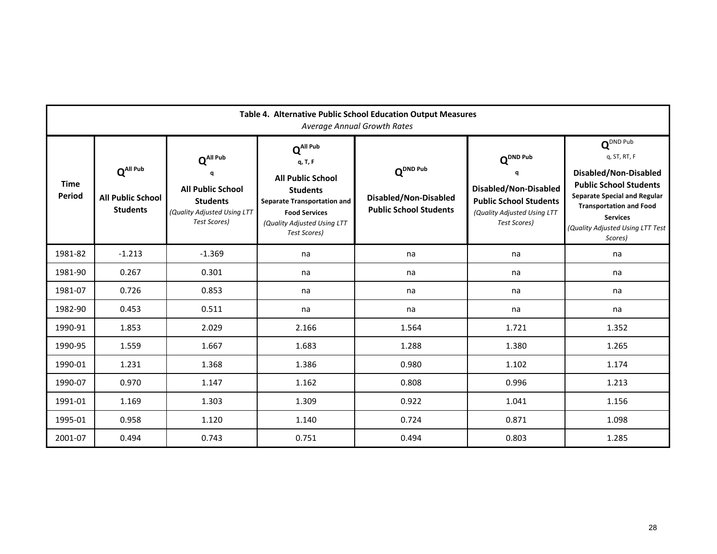| Table 4. Alternative Public School Education Output Measures<br><b>Average Annual Growth Rates</b> |                                                               |                                                                                                                          |                                                                                                                                                                                             |                                                                                |                                                                                                                                             |                                                                                                                                                                                                                                            |  |  |  |
|----------------------------------------------------------------------------------------------------|---------------------------------------------------------------|--------------------------------------------------------------------------------------------------------------------------|---------------------------------------------------------------------------------------------------------------------------------------------------------------------------------------------|--------------------------------------------------------------------------------|---------------------------------------------------------------------------------------------------------------------------------------------|--------------------------------------------------------------------------------------------------------------------------------------------------------------------------------------------------------------------------------------------|--|--|--|
| <b>Time</b><br>Period                                                                              | $Q^{All\,Pub}$<br><b>All Public School</b><br><b>Students</b> | $Q^{All\,Pub}$<br>a<br><b>All Public School</b><br><b>Students</b><br>(Quality Adjusted Using LTT<br><b>Test Scores)</b> | $Q^{\text{All Pub}}$<br>q, T, F<br><b>All Public School</b><br><b>Students</b><br><b>Separate Transportation and</b><br><b>Food Services</b><br>(Quality Adjusted Using LTT<br>Test Scores) | $Q^{\text{DND Pub}}$<br>Disabled/Non-Disabled<br><b>Public School Students</b> | $\mathbf{Q}^{\text{DND Pub}}$<br>a<br>Disabled/Non-Disabled<br><b>Public School Students</b><br>(Quality Adjusted Using LTT<br>Test Scores) | $Q^{DND \text{ Pub}}$<br>q, ST, RT, F<br>Disabled/Non-Disabled<br><b>Public School Students</b><br><b>Separate Special and Regular</b><br><b>Transportation and Food</b><br><b>Services</b><br>(Quality Adjusted Using LTT Test<br>Scores) |  |  |  |
| 1981-82                                                                                            | $-1.213$                                                      | $-1.369$                                                                                                                 | na                                                                                                                                                                                          | na                                                                             | na                                                                                                                                          | na                                                                                                                                                                                                                                         |  |  |  |
| 1981-90                                                                                            | 0.267                                                         | 0.301                                                                                                                    | na                                                                                                                                                                                          | na                                                                             | na                                                                                                                                          | na                                                                                                                                                                                                                                         |  |  |  |
| 1981-07                                                                                            | 0.726                                                         | 0.853                                                                                                                    | na                                                                                                                                                                                          | na                                                                             | na                                                                                                                                          | na                                                                                                                                                                                                                                         |  |  |  |
| 1982-90                                                                                            | 0.453                                                         | 0.511                                                                                                                    | na                                                                                                                                                                                          | na                                                                             | na                                                                                                                                          | na                                                                                                                                                                                                                                         |  |  |  |
| 1990-91                                                                                            | 1.853                                                         | 2.029                                                                                                                    | 2.166                                                                                                                                                                                       | 1.564                                                                          | 1.721                                                                                                                                       | 1.352                                                                                                                                                                                                                                      |  |  |  |
| 1990-95                                                                                            | 1.559                                                         | 1.667                                                                                                                    | 1.683                                                                                                                                                                                       | 1.288                                                                          | 1.380                                                                                                                                       | 1.265                                                                                                                                                                                                                                      |  |  |  |
| 1990-01                                                                                            | 1.231                                                         | 1.368                                                                                                                    | 1.386                                                                                                                                                                                       | 0.980                                                                          | 1.102                                                                                                                                       | 1.174                                                                                                                                                                                                                                      |  |  |  |
| 1990-07                                                                                            | 0.970                                                         | 1.147                                                                                                                    | 1.162                                                                                                                                                                                       | 0.808                                                                          | 0.996                                                                                                                                       | 1.213                                                                                                                                                                                                                                      |  |  |  |
| 1991-01                                                                                            | 1.169                                                         | 1.303                                                                                                                    | 1.309                                                                                                                                                                                       | 0.922                                                                          | 1.041                                                                                                                                       | 1.156                                                                                                                                                                                                                                      |  |  |  |
| 1995-01                                                                                            | 0.958                                                         | 1.120                                                                                                                    | 1.140                                                                                                                                                                                       | 0.724                                                                          | 0.871                                                                                                                                       | 1.098                                                                                                                                                                                                                                      |  |  |  |
| 2001-07                                                                                            | 0.494                                                         | 0.743                                                                                                                    | 0.751                                                                                                                                                                                       | 0.494                                                                          | 0.803                                                                                                                                       | 1.285                                                                                                                                                                                                                                      |  |  |  |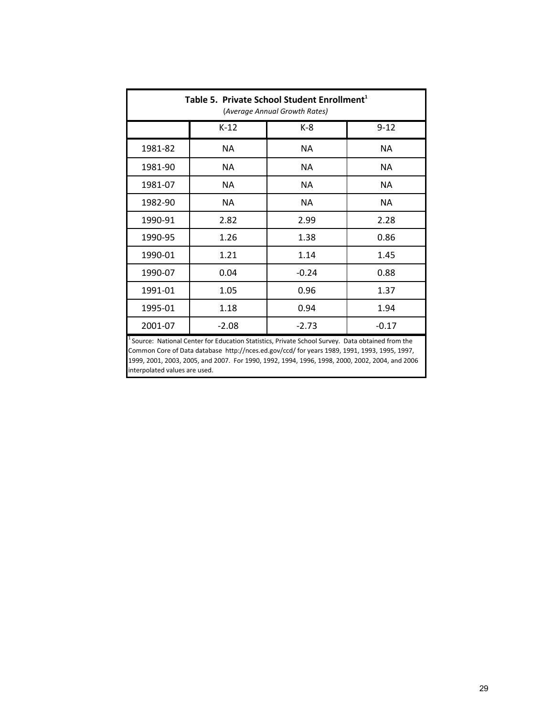| Table 5. Private School Student Enrollment <sup>1</sup><br>(Average Annual Growth Rates)                                                                                                                                                                                                                                           |                               |           |           |  |  |  |  |  |  |
|------------------------------------------------------------------------------------------------------------------------------------------------------------------------------------------------------------------------------------------------------------------------------------------------------------------------------------|-------------------------------|-----------|-----------|--|--|--|--|--|--|
|                                                                                                                                                                                                                                                                                                                                    | $K-12$<br>$9 - 12$<br>K-8     |           |           |  |  |  |  |  |  |
| 1981-82                                                                                                                                                                                                                                                                                                                            | <b>NA</b>                     | <b>NA</b> | <b>NA</b> |  |  |  |  |  |  |
| 1981-90                                                                                                                                                                                                                                                                                                                            | <b>NA</b>                     | <b>NA</b> | ΝA        |  |  |  |  |  |  |
| 1981-07                                                                                                                                                                                                                                                                                                                            | <b>NA</b>                     | <b>NA</b> | <b>NA</b> |  |  |  |  |  |  |
| 1982-90                                                                                                                                                                                                                                                                                                                            | ΝA                            |           |           |  |  |  |  |  |  |
| 1990-91                                                                                                                                                                                                                                                                                                                            | 2.82                          | 2.99      | 2.28      |  |  |  |  |  |  |
| 1990-95                                                                                                                                                                                                                                                                                                                            | 1.26                          | 1.38      | 0.86      |  |  |  |  |  |  |
| 1990-01                                                                                                                                                                                                                                                                                                                            | 1.21                          | 1.14      | 1.45      |  |  |  |  |  |  |
| 1990-07                                                                                                                                                                                                                                                                                                                            | 0.04                          | $-0.24$   | 0.88      |  |  |  |  |  |  |
| 1991-01                                                                                                                                                                                                                                                                                                                            | 1.05                          | 0.96      | 1.37      |  |  |  |  |  |  |
| 1995-01                                                                                                                                                                                                                                                                                                                            | 1.18                          | 0.94      | 1.94      |  |  |  |  |  |  |
| 2001-07                                                                                                                                                                                                                                                                                                                            | $-2.73$<br>$-2.08$<br>$-0.17$ |           |           |  |  |  |  |  |  |
| Source: National Center for Education Statistics, Private School Survey. Data obtained from the<br>Common Core of Data database http://nces.ed.gov/ccd/ for years 1989, 1991, 1993, 1995, 1997,<br>1999, 2001, 2003, 2005, and 2007. For 1990, 1992, 1994, 1996, 1998, 2000, 2002, 2004, and 2006<br>heau ers agulsy hetslooretrij |                               |           |           |  |  |  |  |  |  |

interpolated values are used.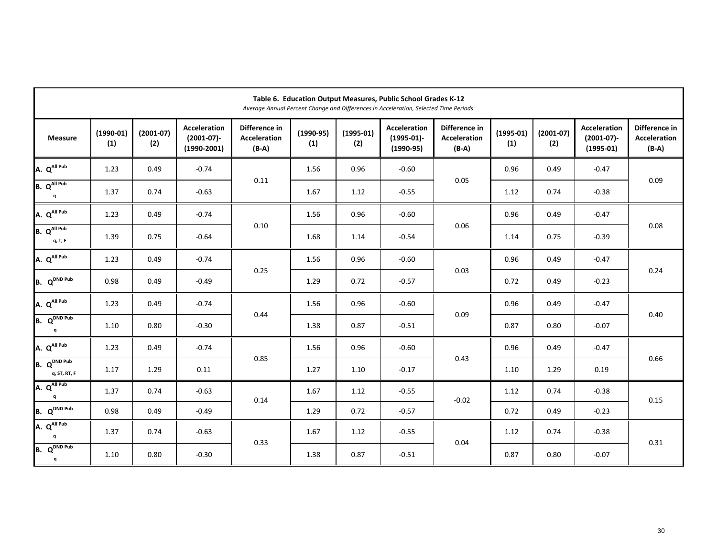| Table 6. Education Output Measures, Public School Grades K-12<br>Average Annual Percent Change and Differences in Acceleration, Selected Time Periods |                    |                    |                                                       |                                                 |                    |                    |                                                     |                                                 |                    |                    |                                                     |                                                 |
|-------------------------------------------------------------------------------------------------------------------------------------------------------|--------------------|--------------------|-------------------------------------------------------|-------------------------------------------------|--------------------|--------------------|-----------------------------------------------------|-------------------------------------------------|--------------------|--------------------|-----------------------------------------------------|-------------------------------------------------|
| <b>Measure</b>                                                                                                                                        | $(1990-01)$<br>(1) | $(2001-07)$<br>(2) | <b>Acceleration</b><br>$(2001-07)$ -<br>$(1990-2001)$ | Difference in<br><b>Acceleration</b><br>$(B-A)$ | $(1990-95)$<br>(1) | $(1995-01)$<br>(2) | <b>Acceleration</b><br>$(1995-01)$ -<br>$(1990-95)$ | Difference in<br><b>Acceleration</b><br>$(B-A)$ | $(1995-01)$<br>(1) | $(2001-07)$<br>(2) | <b>Acceleration</b><br>$(2001-07)$ -<br>$(1995-01)$ | Difference in<br><b>Acceleration</b><br>$(B-A)$ |
| A. Q <sup>All Pub</sup>                                                                                                                               | 1.23               | 0.49               | $-0.74$                                               |                                                 | 1.56               | 0.96               | $-0.60$                                             |                                                 | 0.96               | 0.49               | $-0.47$                                             |                                                 |
| B. QAll Pub<br>q                                                                                                                                      | 1.37               | 0.74               | $-0.63$                                               | 0.11                                            | 1.67               | 1.12               | $-0.55$                                             | 0.05                                            | 1.12               | 0.74               | $-0.38$                                             | 0.09                                            |
| A. Q <sup>All Pub</sup>                                                                                                                               | 1.23               | 0.49               | $-0.74$                                               |                                                 | 1.56               | 0.96               | $-0.60$                                             |                                                 | 0.96               | 0.49               | $-0.47$                                             |                                                 |
| B. QAll Pub<br>q, T, F                                                                                                                                | 1.39               | 0.75               | $-0.64$                                               | $0.10\,$                                        | 1.68               | 1.14               | $-0.54$                                             | 0.06                                            | 1.14               | 0.75               | $-0.39$                                             | 0.08                                            |
| A. Q <sup>All Pub</sup>                                                                                                                               | 1.23               | 0.49               | $-0.74$                                               |                                                 | 1.56               | 0.96               | $-0.60$                                             | 0.03                                            | 0.96               | 0.49               | $-0.47$                                             | 0.24                                            |
| $B. Q^{DND \text{ Pub}}$                                                                                                                              | 0.98               | 0.49               | $-0.49$                                               | 0.25                                            | 1.29               | 0.72               | $-0.57$                                             |                                                 | 0.72               | 0.49               | $-0.23$                                             |                                                 |
| A. Q <sup>All Pub</sup>                                                                                                                               | 1.23               | 0.49               | $-0.74$                                               |                                                 | 1.56               | 0.96               | $-0.60$                                             |                                                 | 0.96               | 0.49               | $-0.47$                                             | 0.40                                            |
| B. Q <sup>DND Pub</sup><br>q                                                                                                                          | 1.10               | 0.80               | $-0.30$                                               | 0.44                                            | 1.38               | 0.87               | $-0.51$                                             | 0.09                                            | 0.87               | 0.80               | $-0.07$                                             |                                                 |
| A. Q <sup>All Pub</sup>                                                                                                                               | 1.23               | 0.49               | $-0.74$                                               |                                                 | 1.56               | 0.96               | $-0.60$                                             |                                                 | 0.96               | 0.49               | $-0.47$                                             |                                                 |
| Q <sup>DND Pub</sup><br>B.<br>q, ST, RT, F                                                                                                            | 1.17               | 1.29               | 0.11                                                  | 0.85                                            | 1.27               | 1.10               | $-0.17$                                             | 0.43                                            | 1.10               | 1.29               | 0.19                                                | 0.66                                            |
| A. QAll Pub<br>q                                                                                                                                      | 1.37               | 0.74               | $-0.63$                                               | 0.14                                            | 1.67               | 1.12               | $-0.55$                                             | $-0.02$                                         | 1.12               | 0.74               | $-0.38$                                             | 0.15                                            |
| B. Q <sup>DND Pub</sup>                                                                                                                               | 0.98               | 0.49               | $-0.49$                                               |                                                 | 1.29               | 0.72               | $-0.57$                                             |                                                 | 0.72               | 0.49               | $-0.23$                                             |                                                 |
| A. QAll Pub<br>q                                                                                                                                      | 1.37               | 0.74               | $-0.63$                                               | 0.33                                            | 1.67               | 1.12               | $-0.55$                                             | 0.04                                            | 1.12               | 0.74               | $-0.38$                                             | 0.31                                            |
| Q <sup>DND Pub</sup><br>B.<br>q                                                                                                                       | 1.10               | 0.80               | $-0.30$                                               |                                                 | 1.38               | 0.87               | $-0.51$                                             |                                                 | 0.87               | 0.80               | $-0.07$                                             |                                                 |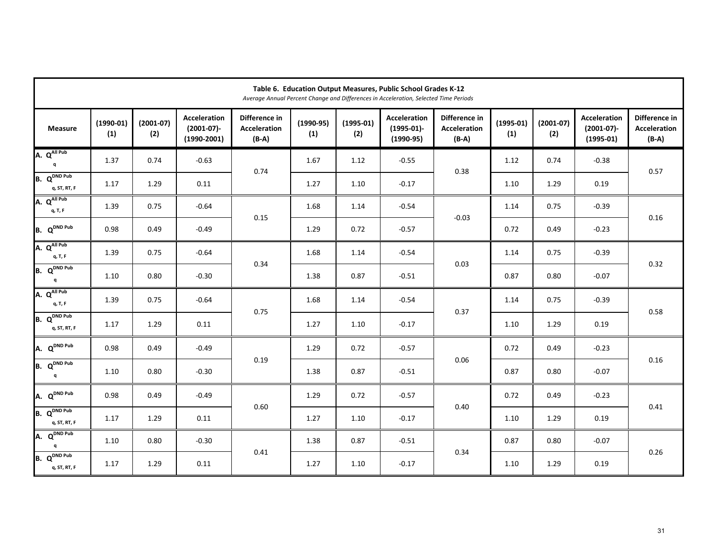| Table 6. Education Output Measures, Public School Grades K-12<br>Average Annual Percent Change and Differences in Acceleration, Selected Time Periods |                    |                    |                                                       |                                                 |                    |                    |                                                     |                                                 |                    |                    |                                                     |                                                 |
|-------------------------------------------------------------------------------------------------------------------------------------------------------|--------------------|--------------------|-------------------------------------------------------|-------------------------------------------------|--------------------|--------------------|-----------------------------------------------------|-------------------------------------------------|--------------------|--------------------|-----------------------------------------------------|-------------------------------------------------|
| <b>Measure</b>                                                                                                                                        | $(1990-01)$<br>(1) | $(2001-07)$<br>(2) | <b>Acceleration</b><br>$(2001-07)$ -<br>$(1990-2001)$ | Difference in<br><b>Acceleration</b><br>$(B-A)$ | $(1990-95)$<br>(1) | $(1995-01)$<br>(2) | <b>Acceleration</b><br>$(1995-01)$ -<br>$(1990-95)$ | Difference in<br><b>Acceleration</b><br>$(B-A)$ | $(1995-01)$<br>(1) | $(2001-07)$<br>(2) | <b>Acceleration</b><br>$(2001-07)$ -<br>$(1995-01)$ | Difference in<br><b>Acceleration</b><br>$(B-A)$ |
| A. QAII Pub<br>q                                                                                                                                      | 1.37               | 0.74               | $-0.63$                                               | 0.74                                            | 1.67               | 1.12               | $-0.55$                                             | 0.38                                            | 1.12               | 0.74               | $-0.38$                                             | 0.57                                            |
| $Q^{DND\ Pub}$<br>B.<br>q, ST, RT, F                                                                                                                  | 1.17               | 1.29               | 0.11                                                  |                                                 | 1.27               | 1.10               | $-0.17$                                             |                                                 | 1.10               | 1.29               | 0.19                                                |                                                 |
| A. QAll Pub<br>q, T, F                                                                                                                                | 1.39               | 0.75               | $-0.64$                                               |                                                 | 1.68               | 1.14               | $-0.54$                                             | $-0.03$                                         | 1.14               | 0.75               | $-0.39$                                             |                                                 |
| B. Q <sup>DND Pub</sup>                                                                                                                               | 0.98               | 0.49               | $-0.49$                                               | 0.15                                            | 1.29               | 0.72               | $-0.57$                                             |                                                 | 0.72               | 0.49               | $-0.23$                                             | 0.16                                            |
| A. Q <sup>All Pub</sup><br>q, T, F                                                                                                                    | 1.39               | 0.75               | $-0.64$                                               |                                                 | 1.68               | 1.14               | $-0.54$                                             | 0.03                                            | 1.14               | 0.75               | $-0.39$                                             | 0.32                                            |
| Q <sup>DND Pub</sup><br>B.<br>q                                                                                                                       | 1.10               | 0.80               | $-0.30$                                               | 0.34                                            | 1.38               | 0.87               | $-0.51$                                             |                                                 | 0.87               | 0.80               | $-0.07$                                             |                                                 |
| A. Q <sup>All Pub</sup><br>q, T, F                                                                                                                    | 1.39               | 0.75               | $-0.64$                                               |                                                 | 1.68               | 1.14               | $-0.54$                                             |                                                 | 1.14               | 0.75               | $-0.39$                                             |                                                 |
| B. Q <sup>DND Pub</sup><br>q, ST, RT, F                                                                                                               | 1.17               | 1.29               | 0.11                                                  | 0.75                                            | 1.27               | 1.10               | $-0.17$                                             | 0.37                                            | 1.10               | 1.29               | 0.19                                                | 0.58                                            |
| A. Q <sup>DND Pub</sup>                                                                                                                               | 0.98               | 0.49               | $-0.49$                                               |                                                 | 1.29               | 0.72               | $-0.57$                                             |                                                 | 0.72               | 0.49               | $-0.23$                                             |                                                 |
| Q <sup>DND Pub</sup><br>B.<br>a                                                                                                                       | 1.10               | 0.80               | $-0.30$                                               | 0.19                                            | 1.38               | 0.87               | $-0.51$                                             | 0.06                                            | 0.87               | 0.80               | $-0.07$                                             | 0.16                                            |
| A. Q <sup>DND Pub</sup>                                                                                                                               | 0.98               | 0.49               | $-0.49$                                               | 0.60                                            | 1.29               | 0.72               | $-0.57$                                             | 0.40                                            | 0.72               | 0.49               | $-0.23$                                             | 0.41                                            |
| B. Q <sup>DND Pub</sup><br>q, ST, RT, F                                                                                                               | 1.17               | 1.29               | 0.11                                                  |                                                 | 1.27               | 1.10               | $-0.17$                                             |                                                 | 1.10               | 1.29               | 0.19                                                |                                                 |
| A. Q <sup>DND Pub</sup>                                                                                                                               | 1.10               | 0.80               | $-0.30$                                               | 0.41                                            | 1.38               | 0.87               | $-0.51$                                             | 0.34                                            | 0.87               | 0.80               | $-0.07$                                             | 0.26                                            |
| B. Q <sup>DND Pub</sup><br>q, ST, RT, F                                                                                                               | 1.17               | 1.29               | 0.11                                                  |                                                 | 1.27               | 1.10               | $-0.17$                                             |                                                 | 1.10               | 1.29               | 0.19                                                |                                                 |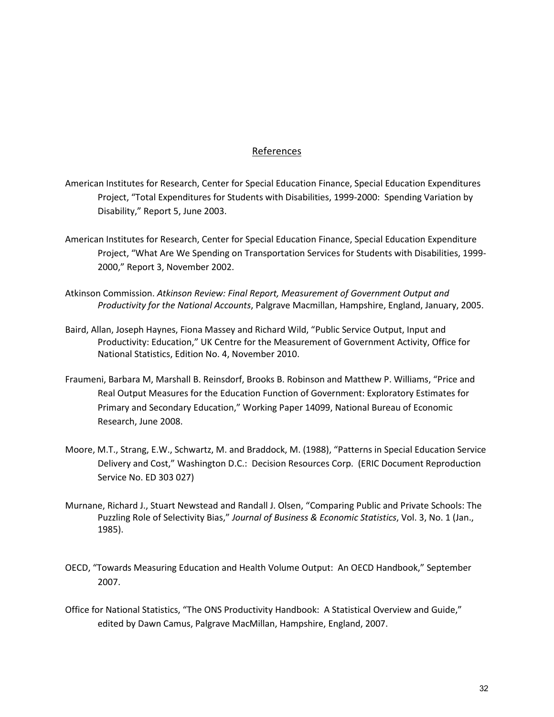## References

- American Institutes for Research, Center for Special Education Finance, Special Education Expenditures Project, "Total Expenditures for Students with Disabilities, 1999-2000: Spending Variation by Disability," Report 5, June 2003.
- American Institutes for Research, Center for Special Education Finance, Special Education Expenditure Project, "What Are We Spending on Transportation Services for Students with Disabilities, 1999- 2000," Report 3, November 2002.
- Atkinson Commission. *Atkinson Review: Final Report, Measurement of Government Output and Productivity for the National Accounts*, Palgrave Macmillan, Hampshire, England, January, 2005.
- Baird, Allan, Joseph Haynes, Fiona Massey and Richard Wild, "Public Service Output, Input and Productivity: Education," UK Centre for the Measurement of Government Activity, Office for National Statistics, Edition No. 4, November 2010.
- Fraumeni, Barbara M, Marshall B. Reinsdorf, Brooks B. Robinson and Matthew P. Williams, "Price and Real Output Measures for the Education Function of Government: Exploratory Estimates for Primary and Secondary Education," Working Paper 14099, National Bureau of Economic Research, June 2008.
- Moore, M.T., Strang, E.W., Schwartz, M. and Braddock, M. (1988), "Patterns in Special Education Service Delivery and Cost," Washington D.C.: Decision Resources Corp. (ERIC Document Reproduction Service No. ED 303 027)
- Murnane, Richard J., Stuart Newstead and Randall J. Olsen, "Comparing Public and Private Schools: The Puzzling Role of Selectivity Bias," *Journal of Business & Economic Statistics*, Vol. 3, No. 1 (Jan., 1985).
- OECD, "Towards Measuring Education and Health Volume Output: An OECD Handbook," September 2007.
- Office for National Statistics, "The ONS Productivity Handbook: A Statistical Overview and Guide," edited by Dawn Camus, Palgrave MacMillan, Hampshire, England, 2007.